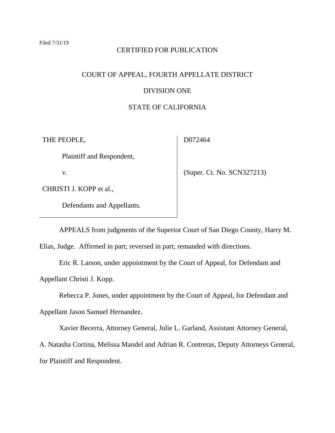#### CERTIFIED FOR PUBLICATION

# COURT OF APPEAL, FOURTH APPELLATE DISTRICT

# DIVISION ONE

# STATE OF CALIFORNIA

THE PEOPLE,

D072464

Plaintiff and Respondent,

v.

CHRISTI J. KOPP et al.,

Defendants and Appellants.

(Super. Ct. No. SCN327213)

APPEALS from judgments of the Superior Court of San Diego County, Harry M.

Elias, Judge. Affirmed in part; reversed in part; remanded with directions.

Eric R. Larson, under appointment by the Court of Appeal, for Defendant and Appellant Christi J. Kopp.

Rebecca P. Jones, under appointment by the Court of Appeal, for Defendant and

Appellant Jason Samuel Hernandez.

Xavier Becerra, Attorney General, Julie L. Garland, Assistant Attorney General,

A. Natasha Cortina, Melissa Mandel and Adrian R. Contreras, Deputy Attorneys General, for Plaintiff and Respondent.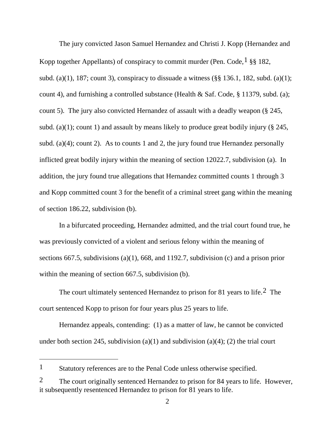The jury convicted Jason Samuel Hernandez and Christi J. Kopp (Hernandez and Kopp together Appellants) of conspiracy to commit murder (Pen. Code,  $\frac{1}{2}$  $\frac{1}{2}$  $\frac{1}{2}$  §§ 182, subd. (a)(1), 187; count 3), conspiracy to dissuade a witness ( $\S$ § 136.1, 182, subd. (a)(1); count 4), and furnishing a controlled substance (Health & Saf. Code, § 11379, subd. (a); count 5). The jury also convicted Hernandez of assault with a deadly weapon (§ 245, subd. (a)(1); count 1) and assault by means likely to produce great bodily injury ( $\S$  245, subd. (a)(4); count 2). As to counts 1 and 2, the jury found true Hernandez personally inflicted great bodily injury within the meaning of section 12022.7, subdivision (a). In addition, the jury found true allegations that Hernandez committed counts 1 through 3 and Kopp committed count 3 for the benefit of a criminal street gang within the meaning of section 186.22, subdivision (b).

In a bifurcated proceeding, Hernandez admitted, and the trial court found true, he was previously convicted of a violent and serious felony within the meaning of sections 667.5, subdivisions (a)(1), 668, and 1192.7, subdivision (c) and a prison prior within the meaning of section 667.5, subdivision (b).

The court ultimately sentenced Hernandez to prison for 81 years to life.[2](#page-1-1) The court sentenced Kopp to prison for four years plus 25 years to life.

Hernandez appeals, contending: (1) as a matter of law, he cannot be convicted under both section 245, subdivision (a)(1) and subdivision (a)(4); (2) the trial court

<span id="page-1-0"></span><sup>1</sup> Statutory references are to the Penal Code unless otherwise specified.

<span id="page-1-1"></span><sup>&</sup>lt;sup>2</sup> The court originally sentenced Hernandez to prison for 84 years to life. However, it subsequently resentenced Hernandez to prison for 81 years to life.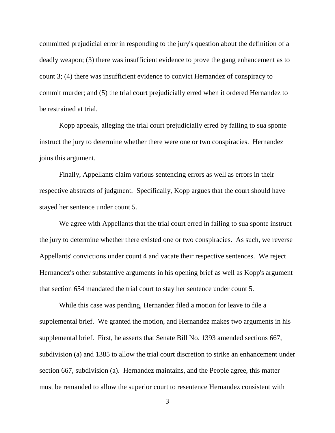committed prejudicial error in responding to the jury's question about the definition of a deadly weapon; (3) there was insufficient evidence to prove the gang enhancement as to count 3; (4) there was insufficient evidence to convict Hernandez of conspiracy to commit murder; and (5) the trial court prejudicially erred when it ordered Hernandez to be restrained at trial.

Kopp appeals, alleging the trial court prejudicially erred by failing to sua sponte instruct the jury to determine whether there were one or two conspiracies. Hernandez joins this argument.

Finally, Appellants claim various sentencing errors as well as errors in their respective abstracts of judgment. Specifically, Kopp argues that the court should have stayed her sentence under count 5.

We agree with Appellants that the trial court erred in failing to sua sponte instruct the jury to determine whether there existed one or two conspiracies. As such, we reverse Appellants' convictions under count 4 and vacate their respective sentences. We reject Hernandez's other substantive arguments in his opening brief as well as Kopp's argument that section 654 mandated the trial court to stay her sentence under count 5.

While this case was pending, Hernandez filed a motion for leave to file a supplemental brief. We granted the motion, and Hernandez makes two arguments in his supplemental brief. First, he asserts that Senate Bill No. 1393 amended sections 667, subdivision (a) and 1385 to allow the trial court discretion to strike an enhancement under section 667, subdivision (a). Hernandez maintains, and the People agree, this matter must be remanded to allow the superior court to resentence Hernandez consistent with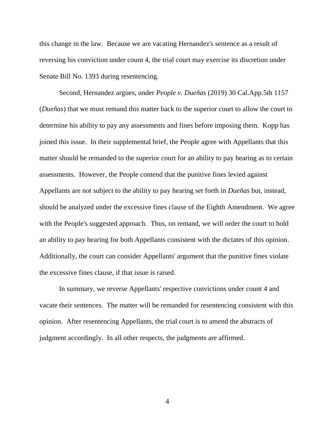this change in the law. Because we are vacating Hernandez's sentence as a result of reversing his conviction under count 4, the trial court may exercise its discretion under Senate Bill No. 1393 during resentencing.

Second, Hernandez argues, under *People v. Dueñas* (2019) 30 Cal.App.5th 1157 (*Dueñas*) that we must remand this matter back to the superior court to allow the court to determine his ability to pay any assessments and fines before imposing them. Kopp has joined this issue. In their supplemental brief, the People agree with Appellants that this matter should be remanded to the superior court for an ability to pay hearing as to certain assessments. However, the People contend that the punitive fines levied against Appellants are not subject to the ability to pay hearing set forth in *Dueñas* but, instead, should be analyzed under the excessive fines clause of the Eighth Amendment. We agree with the People's suggested approach. Thus, on remand, we will order the court to hold an ability to pay hearing for both Appellants consistent with the dictates of this opinion. Additionally, the court can consider Appellants' argument that the punitive fines violate the excessive fines clause, if that issue is raised.

In summary, we reverse Appellants' respective convictions under count 4 and vacate their sentences. The matter will be remanded for resentencing consistent with this opinion. After resentencing Appellants, the trial court is to amend the abstracts of judgment accordingly. In all other respects, the judgments are affirmed.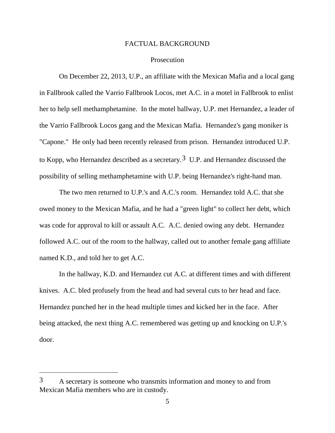# FACTUAL BACKGROUND

# Prosecution

On December 22, 2013, U.P., an affiliate with the Mexican Mafia and a local gang in Fallbrook called the Varrio Fallbrook Locos, met A.C. in a motel in Fallbrook to enlist her to help sell methamphetamine. In the motel hallway, U.P. met Hernandez, a leader of the Varrio Fallbrook Locos gang and the Mexican Mafia. Hernandez's gang moniker is "Capone." He only had been recently released from prison. Hernandez introduced U.P. to Kopp, who Hernandez described as a secretary.<sup>[3](#page-4-0)</sup> U.P. and Hernandez discussed the possibility of selling methamphetamine with U.P. being Hernandez's right-hand man.

The two men returned to U.P.'s and A.C.'s room. Hernandez told A.C. that she owed money to the Mexican Mafia, and he had a "green light" to collect her debt, which was code for approval to kill or assault A.C. A.C. denied owing any debt. Hernandez followed A.C. out of the room to the hallway, called out to another female gang affiliate named K.D., and told her to get A.C.

In the hallway, K.D. and Hernandez cut A.C. at different times and with different knives. A.C. bled profusely from the head and had several cuts to her head and face. Hernandez punched her in the head multiple times and kicked her in the face. After being attacked, the next thing A.C. remembered was getting up and knocking on U.P.'s door.

<span id="page-4-0"></span><sup>3</sup> A secretary is someone who transmits information and money to and from Mexican Mafia members who are in custody.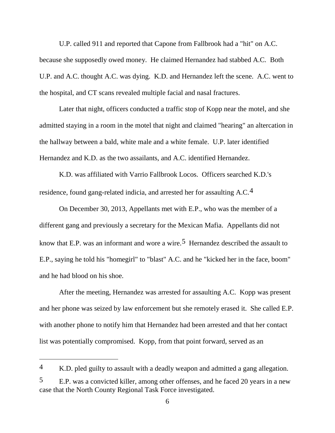U.P. called 911 and reported that Capone from Fallbrook had a "hit" on A.C. because she supposedly owed money. He claimed Hernandez had stabbed A.C. Both U.P. and A.C. thought A.C. was dying. K.D. and Hernandez left the scene. A.C. went to the hospital, and CT scans revealed multiple facial and nasal fractures.

Later that night, officers conducted a traffic stop of Kopp near the motel, and she admitted staying in a room in the motel that night and claimed "hearing" an altercation in the hallway between a bald, white male and a white female. U.P. later identified Hernandez and K.D. as the two assailants, and A.C. identified Hernandez.

K.D. was affiliated with Varrio Fallbrook Locos. Officers searched K.D.'s residence, found gang-related indicia, and arrested her for assaulting A.C.[4](#page-5-0)

On December 30, 2013, Appellants met with E.P., who was the member of a different gang and previously a secretary for the Mexican Mafia. Appellants did not know that E.P. was an informant and wore a wire.<sup>[5](#page-5-1)</sup> Hernandez described the assault to E.P., saying he told his "homegirl" to "blast" A.C. and he "kicked her in the face, boom" and he had blood on his shoe.

After the meeting, Hernandez was arrested for assaulting A.C. Kopp was present and her phone was seized by law enforcement but she remotely erased it. She called E.P. with another phone to notify him that Hernandez had been arrested and that her contact list was potentially compromised. Kopp, from that point forward, served as an

<span id="page-5-0"></span><sup>4</sup> K.D. pled guilty to assault with a deadly weapon and admitted a gang allegation.

<span id="page-5-1"></span><sup>5</sup> E.P. was a convicted killer, among other offenses, and he faced 20 years in a new case that the North County Regional Task Force investigated.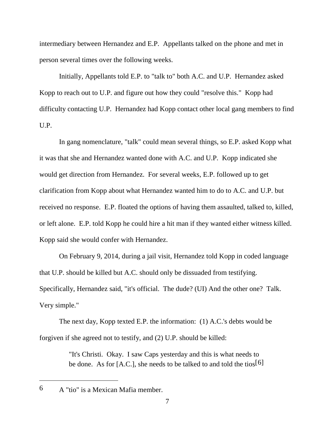intermediary between Hernandez and E.P. Appellants talked on the phone and met in person several times over the following weeks.

Initially, Appellants told E.P. to "talk to" both A.C. and U.P. Hernandez asked Kopp to reach out to U.P. and figure out how they could "resolve this." Kopp had difficulty contacting U.P. Hernandez had Kopp contact other local gang members to find U.P.

In gang nomenclature, "talk" could mean several things, so E.P. asked Kopp what it was that she and Hernandez wanted done with A.C. and U.P. Kopp indicated she would get direction from Hernandez. For several weeks, E.P. followed up to get clarification from Kopp about what Hernandez wanted him to do to A.C. and U.P. but received no response. E.P. floated the options of having them assaulted, talked to, killed, or left alone. E.P. told Kopp he could hire a hit man if they wanted either witness killed. Kopp said she would confer with Hernandez.

On February 9, 2014, during a jail visit, Hernandez told Kopp in coded language that U.P. should be killed but A.C. should only be dissuaded from testifying. Specifically, Hernandez said, "it's official. The dude? (UI) And the other one? Talk. Very simple."

The next day, Kopp texted E.P. the information: (1) A.C.'s debts would be forgiven if she agreed not to testify, and (2) U.P. should be killed:

> "It's Christi. Okay. I saw Caps yesterday and this is what needs to be done. As for [A.C.], she needs to be talked to and told the tios[[6\]](#page-6-0)

<span id="page-6-0"></span><sup>6</sup> A "tio" is a Mexican Mafia member.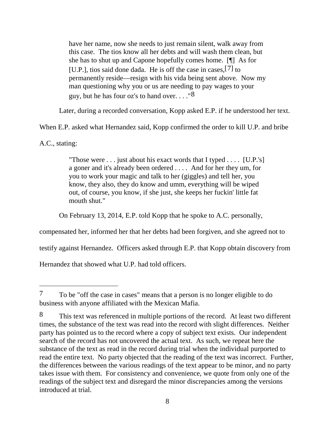have her name, now she needs to just remain silent, walk away from this case. The tios know all her debts and will wash them clean, but she has to shut up and Capone hopefully comes home. [¶] As for [U.P.], tios said done dada. He is off the case in cases,[[7](#page-7-0)] to permanently reside—resign with his vida being sent above. Now my man questioning why you or us are needing to pay wages to your guy, but he has four oz's to hand over. . . ."[8](#page-7-1)

Later, during a recorded conversation, Kopp asked E.P. if he understood her text.

When E.P. asked what Hernandez said, Kopp confirmed the order to kill U.P. and bribe

A.C., stating:

 $\overline{a}$ 

"Those were  $\dots$  just about his exact words that I typed  $\dots$  [U.P.'s] a goner and it's already been ordered . . . . And for her they um, for you to work your magic and talk to her (giggles) and tell her, you know, they also, they do know and umm, everything will be wiped out, of course, you know, if she just, she keeps her fuckin' little fat mouth shut."

On February 13, 2014, E.P. told Kopp that he spoke to A.C. personally,

compensated her, informed her that her debts had been forgiven, and she agreed not to

testify against Hernandez. Officers asked through E.P. that Kopp obtain discovery from

Hernandez that showed what U.P. had told officers.

<span id="page-7-0"></span><sup>7</sup> To be "off the case in cases" means that a person is no longer eligible to do business with anyone affiliated with the Mexican Mafia.

<span id="page-7-1"></span><sup>8</sup> This text was referenced in multiple portions of the record. At least two different times, the substance of the text was read into the record with slight differences. Neither party has pointed us to the record where a copy of subject text exists. Our independent search of the record has not uncovered the actual text. As such, we repeat here the substance of the text as read in the record during trial when the individual purported to read the entire text. No party objected that the reading of the text was incorrect. Further, the differences between the various readings of the text appear to be minor, and no party takes issue with them. For consistency and convenience, we quote from only one of the readings of the subject text and disregard the minor discrepancies among the versions introduced at trial.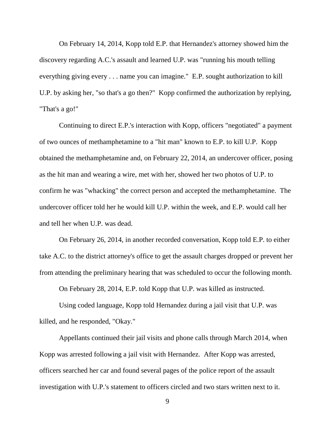On February 14, 2014, Kopp told E.P. that Hernandez's attorney showed him the discovery regarding A.C.'s assault and learned U.P. was "running his mouth telling everything giving every . . . name you can imagine." E.P. sought authorization to kill U.P. by asking her, "so that's a go then?" Kopp confirmed the authorization by replying, "That's a go!"

Continuing to direct E.P.'s interaction with Kopp, officers "negotiated" a payment of two ounces of methamphetamine to a "hit man" known to E.P. to kill U.P. Kopp obtained the methamphetamine and, on February 22, 2014, an undercover officer, posing as the hit man and wearing a wire, met with her, showed her two photos of U.P. to confirm he was "whacking" the correct person and accepted the methamphetamine. The undercover officer told her he would kill U.P. within the week, and E.P. would call her and tell her when U.P. was dead.

On February 26, 2014, in another recorded conversation, Kopp told E.P. to either take A.C. to the district attorney's office to get the assault charges dropped or prevent her from attending the preliminary hearing that was scheduled to occur the following month.

On February 28, 2014, E.P. told Kopp that U.P. was killed as instructed.

Using coded language, Kopp told Hernandez during a jail visit that U.P. was killed, and he responded, "Okay."

Appellants continued their jail visits and phone calls through March 2014, when Kopp was arrested following a jail visit with Hernandez. After Kopp was arrested, officers searched her car and found several pages of the police report of the assault investigation with U.P.'s statement to officers circled and two stars written next to it.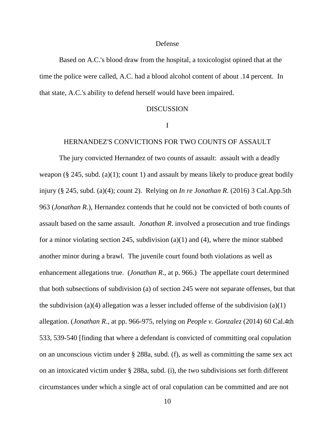#### Defense

Based on A.C.'s blood draw from the hospital, a toxicologist opined that at the time the police were called, A.C. had a blood alcohol content of about .14 percent. In that state, A.C.'s ability to defend herself would have been impaired.

#### DISCUSSION

# I

# HERNANDEZ'S CONVICTIONS FOR TWO COUNTS OF ASSAULT

The jury convicted Hernandez of two counts of assault: assault with a deadly weapon ( $\S$  245, subd. (a)(1); count 1) and assault by means likely to produce great bodily injury (§ 245, subd. (a)(4); count 2). Relying on *In re Jonathan R.* (2016) 3 Cal.App.5th 963 (*Jonathan R.*), Hernandez contends that he could not be convicted of both counts of assault based on the same assault. *Jonathan R*. involved a prosecution and true findings for a minor violating section 245, subdivision (a)(1) and (4), where the minor stabbed another minor during a brawl. The juvenile court found both violations as well as enhancement allegations true. (*Jonathan R*., at p. 966.) The appellate court determined that both subsections of subdivision (a) of section 245 were not separate offenses, but that the subdivision (a)(4) allegation was a lesser included offense of the subdivision (a)(1) allegation. (*Jonathan R*., at pp. 966-975, relying on *People v. Gonzalez* (2014) 60 Cal.4th 533, 539-540 [finding that where a defendant is convicted of committing oral copulation on an unconscious victim under § 288a, subd. (f), as well as committing the same sex act on an intoxicated victim under § 288a, subd. (i), the two subdivisions set forth different circumstances under which a single act of oral copulation can be committed and are not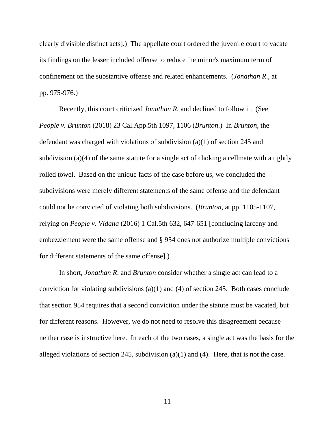clearly divisible distinct acts].) The appellate court ordered the juvenile court to vacate its findings on the lesser included offense to reduce the minor's maximum term of confinement on the substantive offense and related enhancements. (*Jonathan R*., at pp. 975-976.)

Recently, this court criticized *Jonathan R.* and declined to follow it. (See *People v. Brunton* (2018) 23 Cal.App.5th 1097, 1106 (*Brunton*.) In *Brunton*, the defendant was charged with violations of subdivision (a)(1) of section 245 and subdivision (a)(4) of the same statute for a single act of choking a cellmate with a tightly rolled towel. Based on the unique facts of the case before us, we concluded the subdivisions were merely different statements of the same offense and the defendant could not be convicted of violating both subdivisions. (*Brunton*, at pp. 1105-1107, relying on *People v. Vidana* (2016) 1 Cal.5th 632, 647-651 [concluding larceny and embezzlement were the same offense and § 954 does not authorize multiple convictions for different statements of the same offense].)

In short, *Jonathan R*. and *Brunton* consider whether a single act can lead to a conviction for violating subdivisions (a)(1) and (4) of section 245. Both cases conclude that section 954 requires that a second conviction under the statute must be vacated, but for different reasons. However, we do not need to resolve this disagreement because neither case is instructive here. In each of the two cases, a single act was the basis for the alleged violations of section 245, subdivision (a)(1) and (4). Here, that is not the case.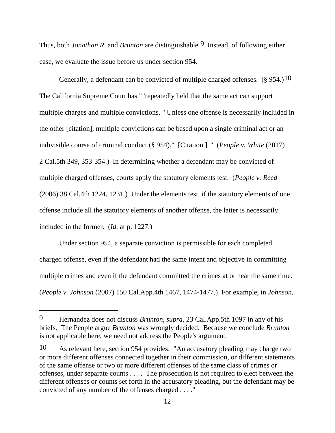Thus, both *Jonathan R*. and *Brunton* are distinguishable.[9](#page-11-0) Instead, of following either case, we evaluate the issue before us under section 954.

Generally, a defendant can be convicted of multiple charged offenses.  $(\S 954.)^{10}$ The California Supreme Court has " 'repeatedly held that the same act can support multiple charges and multiple convictions. "Unless one offense is necessarily included in the other [citation], multiple convictions can be based upon a single criminal act or an indivisible course of criminal conduct (§ 954)." [Citation.]' " (*People v. White* (2017) 2 Cal.5th 349, 353-354.) In determining whether a defendant may be convicted of multiple charged offenses, courts apply the statutory elements test. (*People v. Reed* (2006) 38 Cal.4th 1224, 1231.) Under the elements test, if the statutory elements of one offense include all the statutory elements of another offense, the latter is necessarily included in the former. (*Id.* at p. 1227.)

Under section 954, a separate conviction is permissible for each completed charged offense, even if the defendant had the same intent and objective in committing multiple crimes and even if the defendant committed the crimes at or near the same time. (*People v. Johnson* (2007) 150 Cal.App.4th 1467, 1474-1477.) For example, in *Johnson*,

<span id="page-11-0"></span><sup>9</sup> Hernandez does not discuss *Brunton*, *supra*, 23 Cal.App.5th 1097 in any of his briefs. The People argue *Brunton* was wrongly decided. Because we conclude *Brunton* is not applicable here, we need not address the People's argument.

<span id="page-11-1"></span><sup>10</sup> As relevant here, section 954 provides: "An accusatory pleading may charge two or more different offenses connected together in their commission, or different statements of the same offense or two or more different offenses of the same class of crimes or offenses, under separate counts . . . . The prosecution is not required to elect between the different offenses or counts set forth in the accusatory pleading, but the defendant may be convicted of any number of the offenses charged . . . ."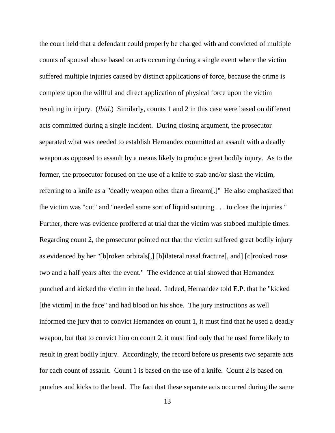the court held that a defendant could properly be charged with and convicted of multiple counts of spousal abuse based on acts occurring during a single event where the victim suffered multiple injuries caused by distinct applications of force, because the crime is complete upon the willful and direct application of physical force upon the victim resulting in injury. (*Ibid*.) Similarly, counts 1 and 2 in this case were based on different acts committed during a single incident. During closing argument, the prosecutor separated what was needed to establish Hernandez committed an assault with a deadly weapon as opposed to assault by a means likely to produce great bodily injury. As to the former, the prosecutor focused on the use of a knife to stab and/or slash the victim, referring to a knife as a "deadly weapon other than a firearm[.]" He also emphasized that the victim was "cut" and "needed some sort of liquid suturing . . . to close the injuries." Further, there was evidence proffered at trial that the victim was stabbed multiple times. Regarding count 2, the prosecutor pointed out that the victim suffered great bodily injury as evidenced by her "[b]roken orbitals[,] [b]ilateral nasal fracture[, and] [c]rooked nose two and a half years after the event." The evidence at trial showed that Hernandez punched and kicked the victim in the head. Indeed, Hernandez told E.P. that he "kicked [the victim] in the face" and had blood on his shoe. The jury instructions as well informed the jury that to convict Hernandez on count 1, it must find that he used a deadly weapon, but that to convict him on count 2, it must find only that he used force likely to result in great bodily injury. Accordingly, the record before us presents two separate acts for each count of assault. Count 1 is based on the use of a knife. Count 2 is based on punches and kicks to the head. The fact that these separate acts occurred during the same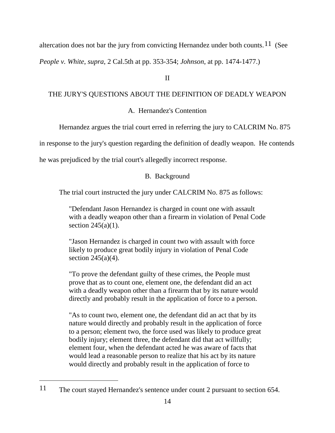altercation does not bar the jury from convicting Hernandez under both counts.<sup>[11](#page-13-0)</sup> (See

*People v. White*, *supra*, 2 Cal.5th at pp. 353-354; *Johnson*, at pp. 1474-1477.)

# II

# THE JURY'S QUESTIONS ABOUT THE DEFINITION OF DEADLY WEAPON

A. Hernandez's Contention

Hernandez argues the trial court erred in referring the jury to CALCRIM No. 875

in response to the jury's question regarding the definition of deadly weapon. He contends

he was prejudiced by the trial court's allegedly incorrect response.

# B. Background

The trial court instructed the jury under CALCRIM No. 875 as follows:

"Defendant Jason Hernandez is charged in count one with assault with a deadly weapon other than a firearm in violation of Penal Code section  $245(a)(1)$ .

"Jason Hernandez is charged in count two with assault with force likely to produce great bodily injury in violation of Penal Code section  $245(a)(4)$ .

"To prove the defendant guilty of these crimes, the People must prove that as to count one, element one, the defendant did an act with a deadly weapon other than a firearm that by its nature would directly and probably result in the application of force to a person.

"As to count two, element one, the defendant did an act that by its nature would directly and probably result in the application of force to a person; element two, the force used was likely to produce great bodily injury; element three, the defendant did that act willfully; element four, when the defendant acted he was aware of facts that would lead a reasonable person to realize that his act by its nature would directly and probably result in the application of force to

<span id="page-13-0"></span><sup>11</sup> The court stayed Hernandez's sentence under count 2 pursuant to section 654.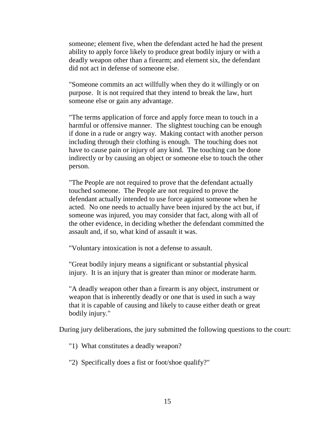someone; element five, when the defendant acted he had the present ability to apply force likely to produce great bodily injury or with a deadly weapon other than a firearm; and element six, the defendant did not act in defense of someone else.

"Someone commits an act willfully when they do it willingly or on purpose. It is not required that they intend to break the law, hurt someone else or gain any advantage.

"The terms application of force and apply force mean to touch in a harmful or offensive manner. The slightest touching can be enough if done in a rude or angry way. Making contact with another person including through their clothing is enough. The touching does not have to cause pain or injury of any kind. The touching can be done indirectly or by causing an object or someone else to touch the other person.

"The People are not required to prove that the defendant actually touched someone. The People are not required to prove the defendant actually intended to use force against someone when he acted. No one needs to actually have been injured by the act but, if someone was injured, you may consider that fact, along with all of the other evidence, in deciding whether the defendant committed the assault and, if so, what kind of assault it was.

"Voluntary intoxication is not a defense to assault.

"Great bodily injury means a significant or substantial physical injury. It is an injury that is greater than minor or moderate harm.

"A deadly weapon other than a firearm is any object, instrument or weapon that is inherently deadly or one that is used in such a way that it is capable of causing and likely to cause either death or great bodily injury."

During jury deliberations, the jury submitted the following questions to the court:

"1) What constitutes a deadly weapon?

"2) Specifically does a fist or foot/shoe qualify?"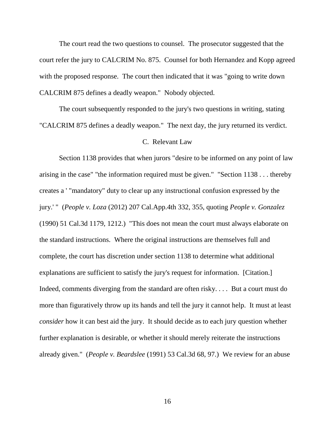The court read the two questions to counsel. The prosecutor suggested that the court refer the jury to CALCRIM No. 875. Counsel for both Hernandez and Kopp agreed with the proposed response. The court then indicated that it was "going to write down" CALCRIM 875 defines a deadly weapon." Nobody objected.

The court subsequently responded to the jury's two questions in writing, stating "CALCRIM 875 defines a deadly weapon." The next day, the jury returned its verdict.

# C. Relevant Law

Section 1138 provides that when jurors "desire to be informed on any point of law arising in the case" "the information required must be given." "Section 1138 . . . thereby creates a ' "mandatory" duty to clear up any instructional confusion expressed by the jury.' " (*People v. Loza* (2012) 207 Cal.App.4th 332, 355, quoting *People v. Gonzalez* (1990) 51 Cal.3d 1179, 1212.) "This does not mean the court must always elaborate on the standard instructions. Where the original instructions are themselves full and complete, the court has discretion under section 1138 to determine what additional explanations are sufficient to satisfy the jury's request for information. [Citation.] Indeed, comments diverging from the standard are often risky. . . . But a court must do more than figuratively throw up its hands and tell the jury it cannot help. It must at least *consider* how it can best aid the jury. It should decide as to each jury question whether further explanation is desirable, or whether it should merely reiterate the instructions already given." (*People v. Beardslee* (1991) 53 Cal.3d 68, 97.) We review for an abuse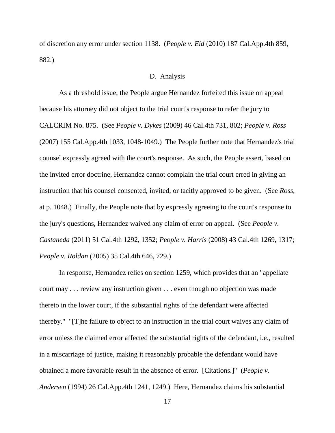of discretion any error under section 1138. (*People v. Eid* (2010) 187 Cal.App.4th 859, 882.)

#### D. Analysis

As a threshold issue, the People argue Hernandez forfeited this issue on appeal because his attorney did not object to the trial court's response to refer the jury to CALCRIM No. 875. (See *People v. Dykes* (2009) 46 Cal.4th 731, 802; *People v. Ross* (2007) 155 Cal.App.4th 1033, 1048-1049.) The People further note that Hernandez's trial counsel expressly agreed with the court's response. As such, the People assert, based on the invited error doctrine, Hernandez cannot complain the trial court erred in giving an instruction that his counsel consented, invited, or tacitly approved to be given. (See *Ross*, at p. 1048.) Finally, the People note that by expressly agreeing to the court's response to the jury's questions, Hernandez waived any claim of error on appeal. (See *People v. Castaneda* (2011) 51 Cal.4th 1292, 1352; *People v. Harris* (2008) 43 Cal.4th 1269, 1317; *People v. Roldan* (2005) 35 Cal.4th 646, 729.)

In response, Hernandez relies on section 1259, which provides that an "appellate court may . . . review any instruction given . . . even though no objection was made thereto in the lower court, if the substantial rights of the defendant were affected thereby." "[T]he failure to object to an instruction in the trial court waives any claim of error unless the claimed error affected the substantial rights of the defendant, i.e., resulted in a miscarriage of justice, making it reasonably probable the defendant would have obtained a more favorable result in the absence of error. [Citations.]" (*People v. Andersen* (1994) 26 Cal.App.4th 1241, 1249.) Here, Hernandez claims his substantial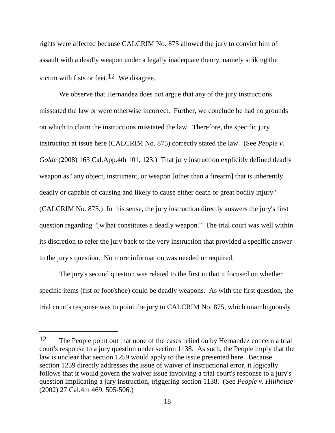rights were affected because CALCRIM No. 875 allowed the jury to convict him of assault with a deadly weapon under a legally inadequate theory, namely striking the victim with fists or feet.<sup>12</sup> We disagree.

We observe that Hernandez does not argue that any of the jury instructions misstated the law or were otherwise incorrect. Further, we conclude he had no grounds on which to claim the instructions misstated the law. Therefore, the specific jury instruction at issue here (CALCRIM No. 875) correctly stated the law. (See *People v. Golde* (2008) 163 Cal.App.4th 101, 123.) That jury instruction explicitly defined deadly weapon as "any object, instrument, or weapon [other than a firearm] that is inherently deadly or capable of causing and likely to cause either death or great bodily injury." (CALCRIM No. 875.) In this sense, the jury instruction directly answers the jury's first question regarding "[w]hat constitutes a deadly weapon." The trial court was well within its discretion to refer the jury back to the very instruction that provided a specific answer to the jury's question. No more information was needed or required.

The jury's second question was related to the first in that it focused on whether specific items (fist or foot/shoe) could be deadly weapons. As with the first question, the trial court's response was to point the jury to CALCRIM No. 875, which unambiguously

<span id="page-17-0"></span><sup>12</sup> The People point out that none of the cases relied on by Hernandez concern a trial court's response to a jury question under section 1138. As such, the People imply that the law is unclear that section 1259 would apply to the issue presented here. Because section 1259 directly addresses the issue of waiver of instructional error, it logically follows that it would govern the waiver issue involving a trial court's response to a jury's question implicating a jury instruction, triggering section 1138. (See *People v. Hillhouse* (2002) 27 Cal.4th 469, 505-506.)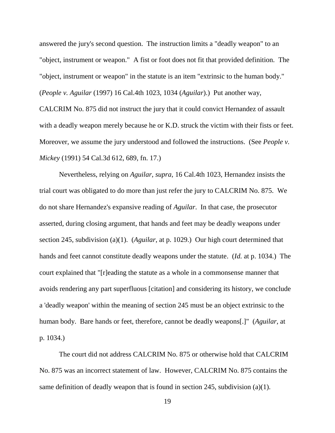answered the jury's second question. The instruction limits a "deadly weapon" to an "object, instrument or weapon." A fist or foot does not fit that provided definition. The "object, instrument or weapon" in the statute is an item "extrinsic to the human body." (*People v. Aguilar* (1997) 16 Cal.4th 1023, 1034 (*Aguilar*).) Put another way, CALCRIM No. 875 did not instruct the jury that it could convict Hernandez of assault with a deadly weapon merely because he or K.D. struck the victim with their fists or feet. Moreover, we assume the jury understood and followed the instructions. (See *People v. Mickey* (1991) 54 Cal.3d 612, 689, fn. 17.)

Nevertheless, relying on *Aguilar*, *supra*, 16 Cal.4th 1023, Hernandez insists the trial court was obligated to do more than just refer the jury to CALCRIM No. 875. We do not share Hernandez's expansive reading of *Aguilar*. In that case, the prosecutor asserted, during closing argument, that hands and feet may be deadly weapons under section 245, subdivision (a)(1). (*Aguilar*, at p. 1029.) Our high court determined that hands and feet cannot constitute deadly weapons under the statute. (*Id.* at p. 1034.) The court explained that "[r]eading the statute as a whole in a commonsense manner that avoids rendering any part superfluous [citation] and considering its history, we conclude a 'deadly weapon' within the meaning of section 245 must be an object extrinsic to the human body. Bare hands or feet, therefore, cannot be deadly weapons[.]" (*Aguilar*, at p. 1034.)

The court did not address CALCRIM No. 875 or otherwise hold that CALCRIM No. 875 was an incorrect statement of law. However, CALCRIM No. 875 contains the same definition of deadly weapon that is found in section 245, subdivision (a)(1).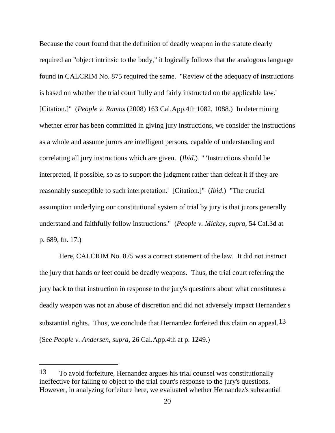Because the court found that the definition of deadly weapon in the statute clearly required an "object intrinsic to the body," it logically follows that the analogous language found in CALCRIM No. 875 required the same. "Review of the adequacy of instructions is based on whether the trial court 'fully and fairly instructed on the applicable law.' [Citation.]" (*People v. Ramos* (2008) 163 Cal.App.4th 1082, 1088.) In determining whether error has been committed in giving jury instructions, we consider the instructions as a whole and assume jurors are intelligent persons, capable of understanding and correlating all jury instructions which are given. (*Ibid*.) " 'Instructions should be interpreted, if possible, so as to support the judgment rather than defeat it if they are reasonably susceptible to such interpretation.' [Citation.]" (*Ibid*.) "The crucial assumption underlying our constitutional system of trial by jury is that jurors generally understand and faithfully follow instructions." (*People v. Mickey*, *supra*, 54 Cal.3d at p. 689, fn. 17.)

Here, CALCRIM No. 875 was a correct statement of the law. It did not instruct the jury that hands or feet could be deadly weapons. Thus, the trial court referring the jury back to that instruction in response to the jury's questions about what constitutes a deadly weapon was not an abuse of discretion and did not adversely impact Hernandez's substantial rights. Thus, we conclude that Hernandez forfeited this claim on appeal.  $13$ (See *People v. Andersen*, *supra*, 26 Cal.App.4th at p. 1249.)

<span id="page-19-0"></span><sup>13</sup> To avoid forfeiture, Hernandez argues his trial counsel was constitutionally ineffective for failing to object to the trial court's response to the jury's questions. However, in analyzing forfeiture here, we evaluated whether Hernandez's substantial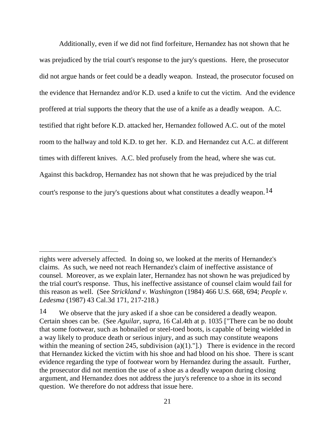Additionally, even if we did not find forfeiture, Hernandez has not shown that he was prejudiced by the trial court's response to the jury's questions. Here, the prosecutor did not argue hands or feet could be a deadly weapon. Instead, the prosecutor focused on the evidence that Hernandez and/or K.D. used a knife to cut the victim. And the evidence proffered at trial supports the theory that the use of a knife as a deadly weapon. A.C. testified that right before K.D. attacked her, Hernandez followed A.C. out of the motel room to the hallway and told K.D. to get her. K.D. and Hernandez cut A.C. at different times with different knives. A.C. bled profusely from the head, where she was cut. Against this backdrop, Hernandez has not shown that he was prejudiced by the trial court's response to the jury's questions about what constitutes a deadly weapon.[14](#page-20-0)

rights were adversely affected. In doing so, we looked at the merits of Hernandez's claims. As such, we need not reach Hernandez's claim of ineffective assistance of counsel. Moreover, as we explain later, Hernandez has not shown he was prejudiced by the trial court's response. Thus, his ineffective assistance of counsel claim would fail for this reason as well. (See *Strickland v. Washington* (1984) 466 U.S. 668, 694; *People v. Ledesma* (1987) 43 Cal.3d 171, 217-218.)

<span id="page-20-0"></span><sup>14</sup> We observe that the jury asked if a shoe can be considered a deadly weapon. Certain shoes can be. (See *Aguilar*, *supra*, 16 Cal.4th at p. 1035 ["There can be no doubt that some footwear, such as hobnailed or steel-toed boots, is capable of being wielded in a way likely to produce death or serious injury, and as such may constitute weapons within the meaning of section 245, subdivision  $(a)(1)$ ."].) There is evidence in the record that Hernandez kicked the victim with his shoe and had blood on his shoe. There is scant evidence regarding the type of footwear worn by Hernandez during the assault. Further, the prosecutor did not mention the use of a shoe as a deadly weapon during closing argument, and Hernandez does not address the jury's reference to a shoe in its second question. We therefore do not address that issue here.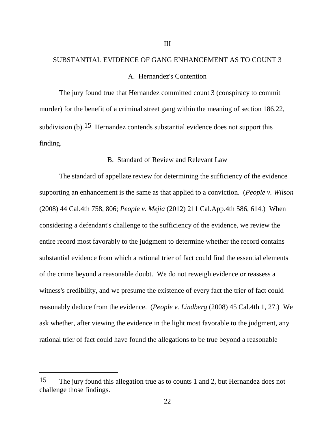# SUBSTANTIAL EVIDENCE OF GANG ENHANCEMENT AS TO COUNT 3 A. Hernandez's Contention

III

The jury found true that Hernandez committed count 3 (conspiracy to commit murder) for the benefit of a criminal street gang within the meaning of section 186.22, subdivision (b).<sup>[15](#page-21-0)</sup> Hernandez contends substantial evidence does not support this finding.

# B. Standard of Review and Relevant Law

The standard of appellate review for determining the sufficiency of the evidence supporting an enhancement is the same as that applied to a conviction. (*People v. Wilson* (2008) 44 Cal.4th 758, 806; *People v. Mejia* (2012) 211 Cal.App.4th 586, 614.) When considering a defendant's challenge to the sufficiency of the evidence, we review the entire record most favorably to the judgment to determine whether the record contains substantial evidence from which a rational trier of fact could find the essential elements of the crime beyond a reasonable doubt. We do not reweigh evidence or reassess a witness's credibility, and we presume the existence of every fact the trier of fact could reasonably deduce from the evidence. (*People v. Lindberg* (2008) 45 Cal.4th 1, 27.) We ask whether, after viewing the evidence in the light most favorable to the judgment, any rational trier of fact could have found the allegations to be true beyond a reasonable

<span id="page-21-0"></span><sup>15</sup> The jury found this allegation true as to counts 1 and 2, but Hernandez does not challenge those findings.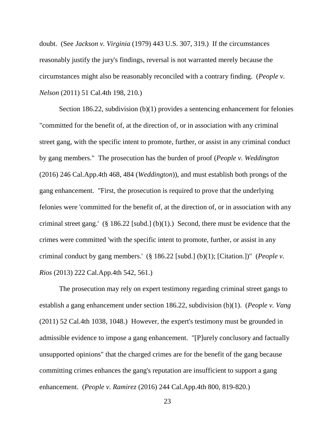doubt. (See *Jackson v. Virginia* (1979) 443 U.S. 307, 319.) If the circumstances reasonably justify the jury's findings, reversal is not warranted merely because the circumstances might also be reasonably reconciled with a contrary finding. (*People v. Nelson* (2011) 51 Cal.4th 198, 210.)

Section 186.22, subdivision (b)(1) provides a sentencing enhancement for felonies "committed for the benefit of, at the direction of, or in association with any criminal street gang, with the specific intent to promote, further, or assist in any criminal conduct by gang members." The prosecution has the burden of proof (*People v. Weddington* (2016) 246 Cal.App.4th 468, 484 (*Weddington*)), and must establish both prongs of the gang enhancement. "First, the prosecution is required to prove that the underlying felonies were 'committed for the benefit of, at the direction of, or in association with any criminal street gang.'  $(\S 186.22 \text{ [subd.]} (b)(1))$ . Second, there must be evidence that the crimes were committed 'with the specific intent to promote, further, or assist in any criminal conduct by gang members.' (§ 186.22 [subd.] (b)(1); [Citation.])" (*People v. Rios* (2013) 222 Cal.App.4th 542, 561.)

The prosecution may rely on expert testimony regarding criminal street gangs to establish a gang enhancement under section 186.22, subdivision (b)(1). (*People v. Vang* (2011) 52 Cal.4th 1038, 1048.) However, the expert's testimony must be grounded in admissible evidence to impose a gang enhancement. "[P]urely conclusory and factually unsupported opinions" that the charged crimes are for the benefit of the gang because committing crimes enhances the gang's reputation are insufficient to support a gang enhancement. (*People v. Ramirez* (2016) 244 Cal.App.4th 800, 819-820.)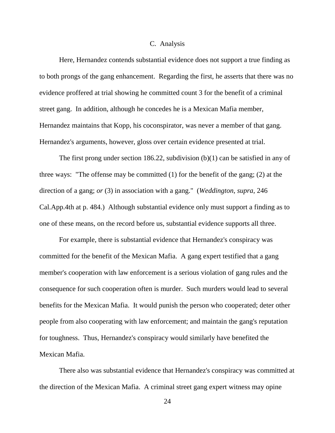#### C. Analysis

Here, Hernandez contends substantial evidence does not support a true finding as to both prongs of the gang enhancement. Regarding the first, he asserts that there was no evidence proffered at trial showing he committed count 3 for the benefit of a criminal street gang. In addition, although he concedes he is a Mexican Mafia member, Hernandez maintains that Kopp, his coconspirator, was never a member of that gang. Hernandez's arguments, however, gloss over certain evidence presented at trial.

The first prong under section 186.22, subdivision (b)(1) can be satisfied in any of three ways: "The offense may be committed (1) for the benefit of the gang; (2) at the direction of a gang; *or* (3) in association with a gang." (*Weddington*, *supra*, 246 Cal.App.4th at p. 484.) Although substantial evidence only must support a finding as to one of these means, on the record before us, substantial evidence supports all three.

For example, there is substantial evidence that Hernandez's conspiracy was committed for the benefit of the Mexican Mafia. A gang expert testified that a gang member's cooperation with law enforcement is a serious violation of gang rules and the consequence for such cooperation often is murder. Such murders would lead to several benefits for the Mexican Mafia. It would punish the person who cooperated; deter other people from also cooperating with law enforcement; and maintain the gang's reputation for toughness. Thus, Hernandez's conspiracy would similarly have benefited the Mexican Mafia.

There also was substantial evidence that Hernandez's conspiracy was committed at the direction of the Mexican Mafia. A criminal street gang expert witness may opine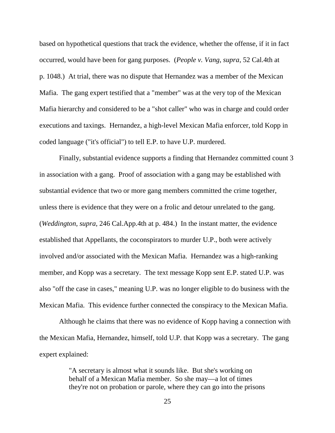based on hypothetical questions that track the evidence, whether the offense, if it in fact occurred, would have been for gang purposes. (*People v. Vang*, *supra*, 52 Cal.4th at p. 1048.) At trial, there was no dispute that Hernandez was a member of the Mexican Mafia. The gang expert testified that a "member" was at the very top of the Mexican Mafia hierarchy and considered to be a "shot caller" who was in charge and could order executions and taxings. Hernandez, a high-level Mexican Mafia enforcer, told Kopp in coded language ("it's official") to tell E.P. to have U.P. murdered.

Finally, substantial evidence supports a finding that Hernandez committed count 3 in association with a gang. Proof of association with a gang may be established with substantial evidence that two or more gang members committed the crime together, unless there is evidence that they were on a frolic and detour unrelated to the gang. (*Weddington*, *supra*, 246 Cal.App.4th at p. 484.) In the instant matter, the evidence established that Appellants, the coconspirators to murder U.P., both were actively involved and/or associated with the Mexican Mafia. Hernandez was a high-ranking member, and Kopp was a secretary. The text message Kopp sent E.P. stated U.P. was also "off the case in cases," meaning U.P. was no longer eligible to do business with the Mexican Mafia. This evidence further connected the conspiracy to the Mexican Mafia.

Although he claims that there was no evidence of Kopp having a connection with the Mexican Mafia, Hernandez, himself, told U.P. that Kopp was a secretary. The gang expert explained:

> "A secretary is almost what it sounds like. But she's working on behalf of a Mexican Mafia member. So she may—a lot of times they're not on probation or parole, where they can go into the prisons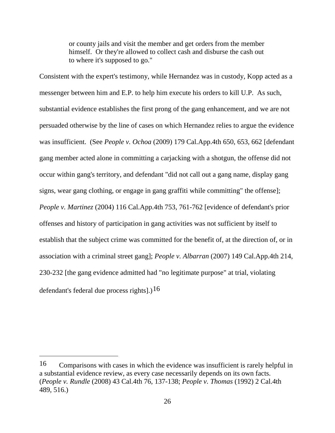or county jails and visit the member and get orders from the member himself. Or they're allowed to collect cash and disburse the cash out to where it's supposed to go."

Consistent with the expert's testimony, while Hernandez was in custody, Kopp acted as a messenger between him and E.P. to help him execute his orders to kill U.P. As such, substantial evidence establishes the first prong of the gang enhancement, and we are not persuaded otherwise by the line of cases on which Hernandez relies to argue the evidence was insufficient. (See *People v. Ochoa* (2009) 179 Cal.App.4th 650, 653, 662 [defendant gang member acted alone in committing a carjacking with a shotgun, the offense did not occur within gang's territory, and defendant "did not call out a gang name, display gang signs, wear gang clothing, or engage in gang graffiti while committing" the offense]; *People v. Martinez* (2004) 116 Cal.App.4th 753, 761-762 [evidence of defendant's prior offenses and history of participation in gang activities was not sufficient by itself to establish that the subject crime was committed for the benefit of, at the direction of, or in association with a criminal street gang]; *People v. Albarran* (2007) 149 Cal.App.4th 214, 230-232 [the gang evidence admitted had "no legitimate purpose" at trial, violating defendant's federal due process rights].)<sup>[16](#page-25-0)</sup>

<span id="page-25-0"></span><sup>16</sup> Comparisons with cases in which the evidence was insufficient is rarely helpful in a substantial evidence review, as every case necessarily depends on its own facts. (*People v. Rundle* (2008) 43 Cal.4th 76, 137-138; *People v. Thomas* (1992) 2 Cal.4th 489, 516.)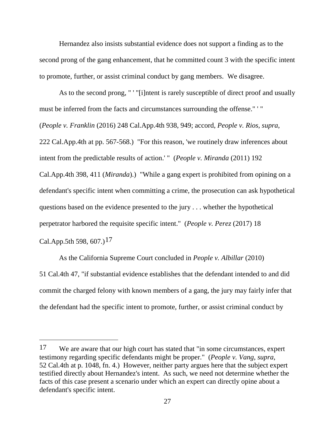Hernandez also insists substantial evidence does not support a finding as to the second prong of the gang enhancement, that he committed count 3 with the specific intent to promote, further, or assist criminal conduct by gang members. We disagree.

As to the second prong, " ' "[i]ntent is rarely susceptible of direct proof and usually must be inferred from the facts and circumstances surrounding the offense." ' " (*People v. Franklin* (2016) 248 Cal.App.4th 938, 949; accord, *People v. Rios*, *supra*, 222 Cal.App.4th at pp. 567-568.) "For this reason, 'we routinely draw inferences about intent from the predictable results of action.' " (*People v. Miranda* (2011) 192 Cal.App.4th 398, 411 (*Miranda*).) "While a gang expert is prohibited from opining on a defendant's specific intent when committing a crime, the prosecution can ask hypothetical questions based on the evidence presented to the jury . . . whether the hypothetical perpetrator harbored the requisite specific intent." (*People v. Perez* (2017) 18

Cal.App.5th 598, 607.)<sup>[17](#page-26-0)</sup>

 $\overline{a}$ 

As the California Supreme Court concluded in *People v. Albillar* (2010) 51 Cal.4th 47, "if substantial evidence establishes that the defendant intended to and did commit the charged felony with known members of a gang, the jury may fairly infer that the defendant had the specific intent to promote, further, or assist criminal conduct by

<span id="page-26-0"></span><sup>17</sup> We are aware that our high court has stated that "in some circumstances, expert testimony regarding specific defendants might be proper." (*People v. Vang*, *supra*, 52 Cal.4th at p. 1048, fn. 4.) However, neither party argues here that the subject expert testified directly about Hernandez's intent. As such, we need not determine whether the facts of this case present a scenario under which an expert can directly opine about a defendant's specific intent.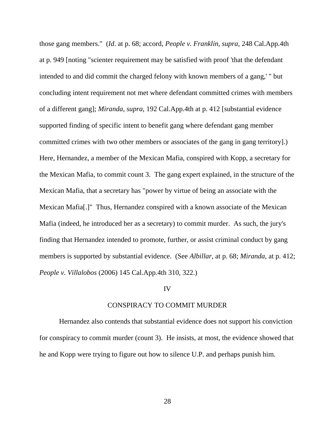those gang members." (*Id*. at p. 68; accord, *People v. Franklin*, *supra*, 248 Cal.App.4th at p. 949 [noting "scienter requirement may be satisfied with proof 'that the defendant intended to and did commit the charged felony with known members of a gang,' " but concluding intent requirement not met where defendant committed crimes with members of a different gang]; *Miranda*, *supra*, 192 Cal.App.4th at p. 412 [substantial evidence supported finding of specific intent to benefit gang where defendant gang member committed crimes with two other members or associates of the gang in gang territory].) Here, Hernandez, a member of the Mexican Mafia, conspired with Kopp, a secretary for the Mexican Mafia, to commit count 3. The gang expert explained, in the structure of the Mexican Mafia, that a secretary has "power by virtue of being an associate with the Mexican Mafia[.]" Thus, Hernandez conspired with a known associate of the Mexican Mafia (indeed, he introduced her as a secretary) to commit murder. As such, the jury's finding that Hernandez intended to promote, further, or assist criminal conduct by gang members is supported by substantial evidence. (See *Albillar*, at p. 68; *Miranda*, at p. 412; *People v. Villalobos* (2006) 145 Cal.App.4th 310, 322.)

# IV

#### CONSPIRACY TO COMMIT MURDER

Hernandez also contends that substantial evidence does not support his conviction for conspiracy to commit murder (count 3). He insists, at most, the evidence showed that he and Kopp were trying to figure out how to silence U.P. and perhaps punish him.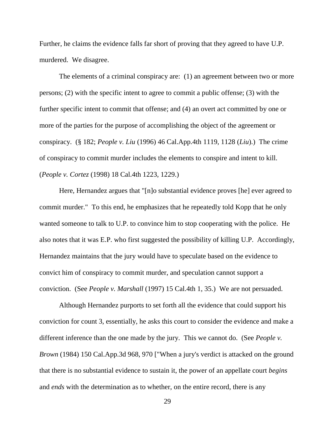Further, he claims the evidence falls far short of proving that they agreed to have U.P. murdered. We disagree.

The elements of a criminal conspiracy are: (1) an agreement between two or more persons; (2) with the specific intent to agree to commit a public offense; (3) with the further specific intent to commit that offense; and (4) an overt act committed by one or more of the parties for the purpose of accomplishing the object of the agreement or conspiracy. (§ 182; *People v. Liu* (1996) 46 Cal.App.4th 1119, 1128 (*Liu*).) The crime of conspiracy to commit murder includes the elements to conspire and intent to kill. (*People v. Cortez* (1998) 18 Cal.4th 1223, 1229.)

Here, Hernandez argues that "[n]o substantial evidence proves [he] ever agreed to commit murder." To this end, he emphasizes that he repeatedly told Kopp that he only wanted someone to talk to U.P. to convince him to stop cooperating with the police. He also notes that it was E.P. who first suggested the possibility of killing U.P. Accordingly, Hernandez maintains that the jury would have to speculate based on the evidence to convict him of conspiracy to commit murder, and speculation cannot support a conviction. (See *People v. Marshall* (1997) 15 Cal.4th 1, 35.) We are not persuaded.

Although Hernandez purports to set forth all the evidence that could support his conviction for count 3, essentially, he asks this court to consider the evidence and make a different inference than the one made by the jury. This we cannot do. (See *People v. Brown* (1984) 150 Cal.App.3d 968, 970 ["When a jury's verdict is attacked on the ground that there is no substantial evidence to sustain it, the power of an appellate court *begins* and *ends* with the determination as to whether, on the entire record, there is any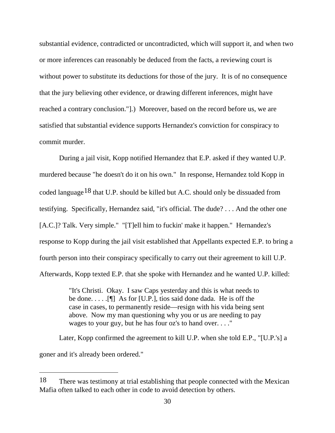substantial evidence, contradicted or uncontradicted, which will support it, and when two or more inferences can reasonably be deduced from the facts, a reviewing court is without power to substitute its deductions for those of the jury. It is of no consequence that the jury believing other evidence, or drawing different inferences, might have reached a contrary conclusion."].) Moreover, based on the record before us, we are satisfied that substantial evidence supports Hernandez's conviction for conspiracy to commit murder.

During a jail visit, Kopp notified Hernandez that E.P. asked if they wanted U.P. murdered because "he doesn't do it on his own." In response, Hernandez told Kopp in coded language<sup>[18](#page-29-0)</sup> that U.P. should be killed but A.C. should only be dissuaded from testifying. Specifically, Hernandez said, "it's official. The dude? . . . And the other one [A.C.]? Talk. Very simple." "[T]ell him to fuckin' make it happen." Hernandez's response to Kopp during the jail visit established that Appellants expected E.P. to bring a fourth person into their conspiracy specifically to carry out their agreement to kill U.P. Afterwards, Kopp texted E.P. that she spoke with Hernandez and he wanted U.P. killed:

> "It's Christi. Okay. I saw Caps yesterday and this is what needs to be done. . . . .[¶] As for [U.P.], tios said done dada. He is off the case in cases, to permanently reside—resign with his vida being sent above. Now my man questioning why you or us are needing to pay wages to your guy, but he has four oz's to hand over. . . ."

Later, Kopp confirmed the agreement to kill U.P. when she told E.P., "[U.P.'s] a goner and it's already been ordered."

<span id="page-29-0"></span><sup>18</sup> There was testimony at trial establishing that people connected with the Mexican Mafia often talked to each other in code to avoid detection by others.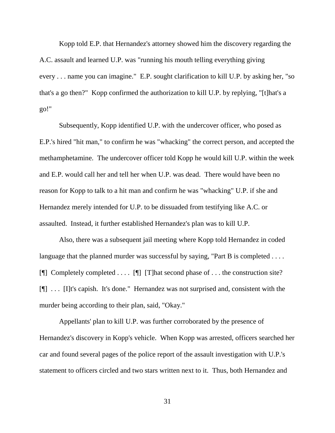Kopp told E.P. that Hernandez's attorney showed him the discovery regarding the A.C. assault and learned U.P. was "running his mouth telling everything giving every . . . name you can imagine." E.P. sought clarification to kill U.P. by asking her, "so that's a go then?" Kopp confirmed the authorization to kill U.P. by replying, "[t]hat's a go!"

Subsequently, Kopp identified U.P. with the undercover officer, who posed as E.P.'s hired "hit man," to confirm he was "whacking" the correct person, and accepted the methamphetamine. The undercover officer told Kopp he would kill U.P. within the week and E.P. would call her and tell her when U.P. was dead. There would have been no reason for Kopp to talk to a hit man and confirm he was "whacking" U.P. if she and Hernandez merely intended for U.P. to be dissuaded from testifying like A.C. or assaulted. Instead, it further established Hernandez's plan was to kill U.P.

Also, there was a subsequent jail meeting where Kopp told Hernandez in coded language that the planned murder was successful by saying, "Part B is completed . . . . [ $\llbracket \llbracket$ ] Completely completed ....  $\llbracket \llbracket \rrbracket$  [T] hat second phase of ... the construction site? [¶] . . . [I]t's capish. It's done." Hernandez was not surprised and, consistent with the murder being according to their plan, said, "Okay."

Appellants' plan to kill U.P. was further corroborated by the presence of Hernandez's discovery in Kopp's vehicle. When Kopp was arrested, officers searched her car and found several pages of the police report of the assault investigation with U.P.'s statement to officers circled and two stars written next to it. Thus, both Hernandez and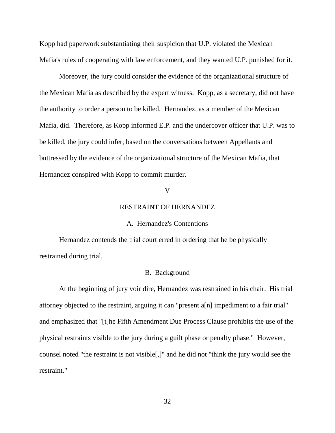Kopp had paperwork substantiating their suspicion that U.P. violated the Mexican Mafia's rules of cooperating with law enforcement, and they wanted U.P. punished for it.

Moreover, the jury could consider the evidence of the organizational structure of the Mexican Mafia as described by the expert witness. Kopp, as a secretary, did not have the authority to order a person to be killed. Hernandez, as a member of the Mexican Mafia, did. Therefore, as Kopp informed E.P. and the undercover officer that U.P. was to be killed, the jury could infer, based on the conversations between Appellants and buttressed by the evidence of the organizational structure of the Mexican Mafia, that Hernandez conspired with Kopp to commit murder.

# V

# RESTRAINT OF HERNANDEZ

#### A. Hernandez's Contentions

Hernandez contends the trial court erred in ordering that he be physically restrained during trial.

#### B. Background

At the beginning of jury voir dire, Hernandez was restrained in his chair. His trial attorney objected to the restraint, arguing it can "present a[n] impediment to a fair trial" and emphasized that "[t]he Fifth Amendment Due Process Clause prohibits the use of the physical restraints visible to the jury during a guilt phase or penalty phase." However, counsel noted "the restraint is not visible[,]" and he did not "think the jury would see the restraint."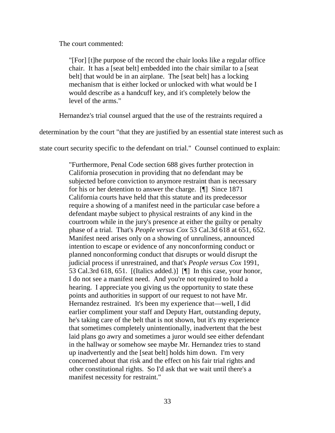The court commented:

"[For] [t]he purpose of the record the chair looks like a regular office chair. It has a [seat belt] embedded into the chair similar to a [seat belt] that would be in an airplane. The [seat belt] has a locking mechanism that is either locked or unlocked with what would be I would describe as a handcuff key, and it's completely below the level of the arms."

Hernandez's trial counsel argued that the use of the restraints required a

determination by the court "that they are justified by an essential state interest such as

state court security specific to the defendant on trial." Counsel continued to explain:

"Furthermore, Penal Code section 688 gives further protection in California prosecution in providing that no defendant may be subjected before conviction to anymore restraint than is necessary for his or her detention to answer the charge. [¶] Since 1871 California courts have held that this statute and its predecessor require a showing of a manifest need in the particular case before a defendant maybe subject to physical restraints of any kind in the courtroom while in the jury's presence at either the guilty or penalty phase of a trial. That's *People versus Cox* 53 Cal.3d 618 at 651, 652. Manifest need arises only on a showing of unruliness, announced intention to escape or evidence of any nonconforming conduct or planned nonconforming conduct that disrupts or would disrupt the judicial process if unrestrained, and that's *People versus Cox* 1991, 53 Cal.3rd 618, 651. [(Italics added.)] [¶] In this case, your honor, I do not see a manifest need. And you're not required to hold a hearing. I appreciate you giving us the opportunity to state these points and authorities in support of our request to not have Mr. Hernandez restrained. It's been my experience that—well, I did earlier compliment your staff and Deputy Hart, outstanding deputy, he's taking care of the belt that is not shown, but it's my experience that sometimes completely unintentionally, inadvertent that the best laid plans go awry and sometimes a juror would see either defendant in the hallway or somehow see maybe Mr. Hernandez tries to stand up inadvertently and the [seat belt] holds him down. I'm very concerned about that risk and the effect on his fair trial rights and other constitutional rights. So I'd ask that we wait until there's a manifest necessity for restraint."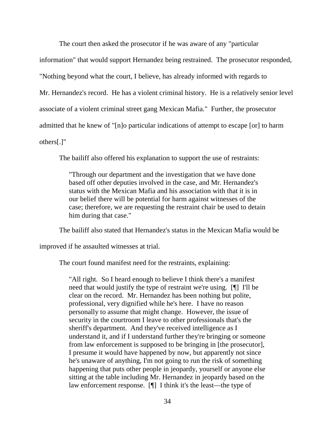The court then asked the prosecutor if he was aware of any "particular

information" that would support Hernandez being restrained. The prosecutor responded, "Nothing beyond what the court, I believe, has already informed with regards to Mr. Hernandez's record. He has a violent criminal history. He is a relatively senior level associate of a violent criminal street gang Mexican Mafia." Further, the prosecutor admitted that he knew of "[n]o particular indications of attempt to escape [or] to harm others[.]"

The bailiff also offered his explanation to support the use of restraints:

"Through our department and the investigation that we have done based off other deputies involved in the case, and Mr. Hernandez's status with the Mexican Mafia and his association with that it is in our belief there will be potential for harm against witnesses of the case; therefore, we are requesting the restraint chair be used to detain him during that case."

The bailiff also stated that Hernandez's status in the Mexican Mafia would be

improved if he assaulted witnesses at trial.

The court found manifest need for the restraints, explaining:

"All right. So I heard enough to believe I think there's a manifest need that would justify the type of restraint we're using. [¶] I'll be clear on the record. Mr. Hernandez has been nothing but polite, professional, very dignified while he's here. I have no reason personally to assume that might change. However, the issue of security in the courtroom I leave to other professionals that's the sheriff's department. And they've received intelligence as I understand it, and if I understand further they're bringing or someone from law enforcement is supposed to be bringing in [the prosecutor], I presume it would have happened by now, but apparently not since he's unaware of anything, I'm not going to run the risk of something happening that puts other people in jeopardy, yourself or anyone else sitting at the table including Mr. Hernandez in jeopardy based on the law enforcement response. [¶] I think it's the least—the type of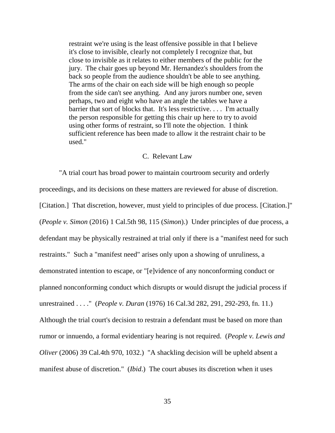restraint we're using is the least offensive possible in that I believe it's close to invisible, clearly not completely I recognize that, but close to invisible as it relates to either members of the public for the jury. The chair goes up beyond Mr. Hernandez's shoulders from the back so people from the audience shouldn't be able to see anything. The arms of the chair on each side will be high enough so people from the side can't see anything. And any jurors number one, seven perhaps, two and eight who have an angle the tables we have a barrier that sort of blocks that. It's less restrictive. . . . I'm actually the person responsible for getting this chair up here to try to avoid using other forms of restraint, so I'll note the objection. I think sufficient reference has been made to allow it the restraint chair to be used."

# C. Relevant Law

"A trial court has broad power to maintain courtroom security and orderly proceedings, and its decisions on these matters are reviewed for abuse of discretion. [Citation.] That discretion, however, must yield to principles of due process. [Citation.]" (*People v. Simon* (2016) 1 Cal.5th 98, 115 (*Simon*).) Under principles of due process, a defendant may be physically restrained at trial only if there is a "manifest need for such restraints." Such a "manifest need" arises only upon a showing of unruliness, a demonstrated intention to escape, or "[e]vidence of any nonconforming conduct or planned nonconforming conduct which disrupts or would disrupt the judicial process if unrestrained . . . ." (*People v. Duran* (1976) 16 Cal.3d 282, 291, 292-293, fn. 11.) Although the trial court's decision to restrain a defendant must be based on more than rumor or innuendo, a formal evidentiary hearing is not required. (*People v. Lewis and Oliver* (2006) 39 Cal.4th 970, 1032.) "A shackling decision will be upheld absent a manifest abuse of discretion." (*Ibid*.) The court abuses its discretion when it uses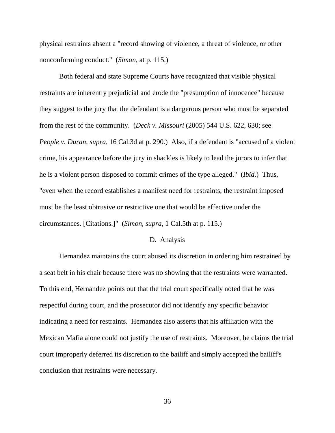physical restraints absent a "record showing of violence, a threat of violence, or other nonconforming conduct." (*Simon*, at p. 115.)

Both federal and state Supreme Courts have recognized that visible physical restraints are inherently prejudicial and erode the "presumption of innocence" because they suggest to the jury that the defendant is a dangerous person who must be separated from the rest of the community. (*Deck v. Missouri* (2005) 544 U.S. 622, 630; see *People v. Duran*, *supra*, 16 Cal.3d at p. 290.) Also, if a defendant is "accused of a violent crime, his appearance before the jury in shackles is likely to lead the jurors to infer that he is a violent person disposed to commit crimes of the type alleged." (*Ibid*.) Thus, "even when the record establishes a manifest need for restraints, the restraint imposed must be the least obtrusive or restrictive one that would be effective under the circumstances. [Citations.]" (*Simon*, *supra*, 1 Cal.5th at p. 115.)

#### D. Analysis

Hernandez maintains the court abused its discretion in ordering him restrained by a seat belt in his chair because there was no showing that the restraints were warranted. To this end, Hernandez points out that the trial court specifically noted that he was respectful during court, and the prosecutor did not identify any specific behavior indicating a need for restraints. Hernandez also asserts that his affiliation with the Mexican Mafia alone could not justify the use of restraints. Moreover, he claims the trial court improperly deferred its discretion to the bailiff and simply accepted the bailiff's conclusion that restraints were necessary.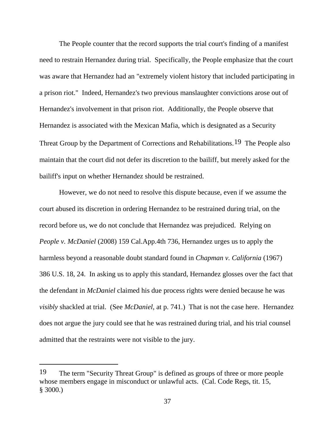The People counter that the record supports the trial court's finding of a manifest need to restrain Hernandez during trial. Specifically, the People emphasize that the court was aware that Hernandez had an "extremely violent history that included participating in a prison riot." Indeed, Hernandez's two previous manslaughter convictions arose out of Hernandez's involvement in that prison riot. Additionally, the People observe that Hernandez is associated with the Mexican Mafia, which is designated as a Security Threat Group by the Department of Corrections and Rehabilitations.<sup>[19](#page-36-0)</sup> The People also maintain that the court did not defer its discretion to the bailiff, but merely asked for the bailiff's input on whether Hernandez should be restrained.

However, we do not need to resolve this dispute because, even if we assume the court abused its discretion in ordering Hernandez to be restrained during trial, on the record before us, we do not conclude that Hernandez was prejudiced. Relying on *People v. McDaniel* (2008) 159 Cal.App.4th 736, Hernandez urges us to apply the harmless beyond a reasonable doubt standard found in *Chapman v. California* (1967) 386 U.S. 18, 24. In asking us to apply this standard, Hernandez glosses over the fact that the defendant in *McDaniel* claimed his due process rights were denied because he was *visibly* shackled at trial. (See *McDaniel*, at p. 741.) That is not the case here. Hernandez does not argue the jury could see that he was restrained during trial, and his trial counsel admitted that the restraints were not visible to the jury.

<span id="page-36-0"></span><sup>19</sup> The term "Security Threat Group" is defined as groups of three or more people whose members engage in misconduct or unlawful acts. (Cal. Code Regs, tit. 15, § 3000.)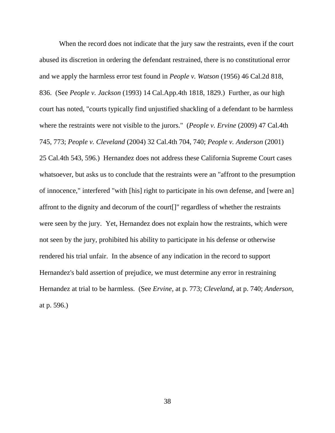When the record does not indicate that the jury saw the restraints, even if the court abused its discretion in ordering the defendant restrained, there is no constitutional error and we apply the harmless error test found in *People v. Watson* (1956) 46 Cal.2d 818, 836. (See *People v. Jackson* (1993) 14 Cal.App.4th 1818, 1829.) Further, as our high court has noted, "courts typically find unjustified shackling of a defendant to be harmless where the restraints were not visible to the jurors." (*People v. Ervine* (2009) 47 Cal.4th 745, 773; *People v. Cleveland* (2004) 32 Cal.4th 704, 740; *People v. Anderson* (2001) 25 Cal.4th 543, 596.) Hernandez does not address these California Supreme Court cases whatsoever, but asks us to conclude that the restraints were an "affront to the presumption of innocence," interfered "with [his] right to participate in his own defense, and [were an] affront to the dignity and decorum of the court[]" regardless of whether the restraints were seen by the jury. Yet, Hernandez does not explain how the restraints, which were not seen by the jury, prohibited his ability to participate in his defense or otherwise rendered his trial unfair. In the absence of any indication in the record to support Hernandez's bald assertion of prejudice, we must determine any error in restraining Hernandez at trial to be harmless. (See *Ervine*, at p. 773; *Cleveland*, at p. 740; *Anderson,* at p. 596.)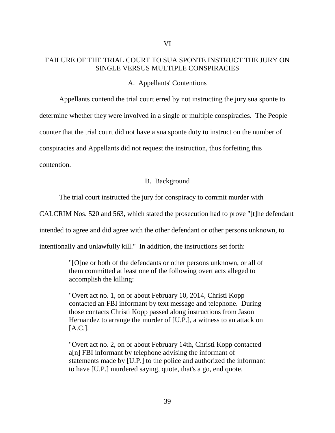# FAILURE OF THE TRIAL COURT TO SUA SPONTE INSTRUCT THE JURY ON SINGLE VERSUS MULTIPLE CONSPIRACIES

A. Appellants' Contentions

Appellants contend the trial court erred by not instructing the jury sua sponte to determine whether they were involved in a single or multiple conspiracies. The People counter that the trial court did not have a sua sponte duty to instruct on the number of conspiracies and Appellants did not request the instruction, thus forfeiting this contention.

# B. Background

The trial court instructed the jury for conspiracy to commit murder with

CALCRIM Nos. 520 and 563, which stated the prosecution had to prove "[t]he defendant

intended to agree and did agree with the other defendant or other persons unknown, to

intentionally and unlawfully kill." In addition, the instructions set forth:

"[O]ne or both of the defendants or other persons unknown, or all of them committed at least one of the following overt acts alleged to accomplish the killing:

"Overt act no. 1, on or about February 10, 2014, Christi Kopp contacted an FBI informant by text message and telephone. During those contacts Christi Kopp passed along instructions from Jason Hernandez to arrange the murder of [U.P.], a witness to an attack on [A.C.].

"Overt act no. 2, on or about February 14th, Christi Kopp contacted a[n] FBI informant by telephone advising the informant of statements made by [U.P.] to the police and authorized the informant to have [U.P.] murdered saying, quote, that's a go, end quote.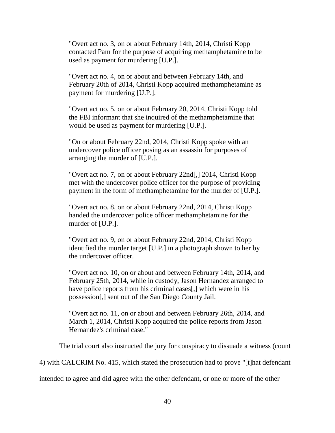"Overt act no. 3, on or about February 14th, 2014, Christi Kopp contacted Pam for the purpose of acquiring methamphetamine to be used as payment for murdering [U.P.].

"Overt act no. 4, on or about and between February 14th, and February 20th of 2014, Christi Kopp acquired methamphetamine as payment for murdering [U.P.].

"Overt act no. 5, on or about February 20, 2014, Christi Kopp told the FBI informant that she inquired of the methamphetamine that would be used as payment for murdering [U.P.].

"On or about February 22nd, 2014, Christi Kopp spoke with an undercover police officer posing as an assassin for purposes of arranging the murder of [U.P.].

"Overt act no. 7, on or about February 22nd[,] 2014, Christi Kopp met with the undercover police officer for the purpose of providing payment in the form of methamphetamine for the murder of [U.P.].

"Overt act no. 8, on or about February 22nd, 2014, Christi Kopp handed the undercover police officer methamphetamine for the murder of [U.P.].

"Overt act no. 9, on or about February 22nd, 2014, Christi Kopp identified the murder target [U.P.] in a photograph shown to her by the undercover officer.

"Overt act no. 10, on or about and between February 14th, 2014, and February 25th, 2014, while in custody, Jason Hernandez arranged to have police reports from his criminal cases[,] which were in his possession[,] sent out of the San Diego County Jail.

"Overt act no. 11, on or about and between February 26th, 2014, and March 1, 2014, Christi Kopp acquired the police reports from Jason Hernandez's criminal case."

The trial court also instructed the jury for conspiracy to dissuade a witness (count

4) with CALCRIM No. 415, which stated the prosecution had to prove "[t]hat defendant

intended to agree and did agree with the other defendant, or one or more of the other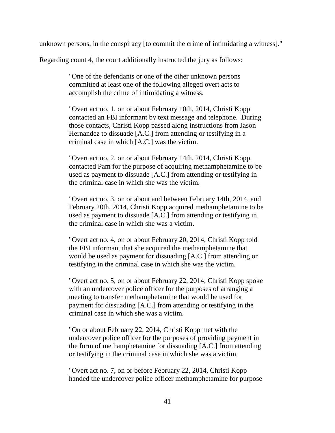unknown persons, in the conspiracy [to commit the crime of intimidating a witness]."

Regarding count 4, the court additionally instructed the jury as follows:

"One of the defendants or one of the other unknown persons committed at least one of the following alleged overt acts to accomplish the crime of intimidating a witness.

"Overt act no. 1, on or about February 10th, 2014, Christi Kopp contacted an FBI informant by text message and telephone. During those contacts, Christi Kopp passed along instructions from Jason Hernandez to dissuade [A.C.] from attending or testifying in a criminal case in which [A.C.] was the victim.

"Overt act no. 2, on or about February 14th, 2014, Christi Kopp contacted Pam for the purpose of acquiring methamphetamine to be used as payment to dissuade [A.C.] from attending or testifying in the criminal case in which she was the victim.

"Overt act no. 3, on or about and between February 14th, 2014, and February 20th, 2014, Christi Kopp acquired methamphetamine to be used as payment to dissuade [A.C.] from attending or testifying in the criminal case in which she was a victim.

"Overt act no. 4, on or about February 20, 2014, Christi Kopp told the FBI informant that she acquired the methamphetamine that would be used as payment for dissuading [A.C.] from attending or testifying in the criminal case in which she was the victim.

"Overt act no. 5, on or about February 22, 2014, Christi Kopp spoke with an undercover police officer for the purposes of arranging a meeting to transfer methamphetamine that would be used for payment for dissuading [A.C.] from attending or testifying in the criminal case in which she was a victim.

"On or about February 22, 2014, Christi Kopp met with the undercover police officer for the purposes of providing payment in the form of methamphetamine for dissuading [A.C.] from attending or testifying in the criminal case in which she was a victim.

"Overt act no. 7, on or before February 22, 2014, Christi Kopp handed the undercover police officer methamphetamine for purpose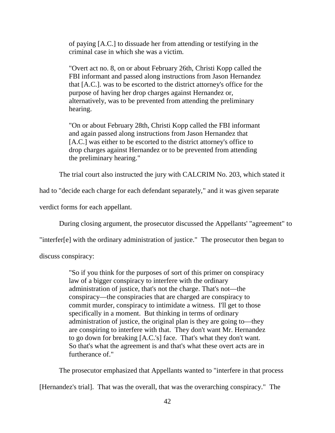of paying [A.C.] to dissuade her from attending or testifying in the criminal case in which she was a victim.

"Overt act no. 8, on or about February 26th, Christi Kopp called the FBI informant and passed along instructions from Jason Hernandez that [A.C.]. was to be escorted to the district attorney's office for the purpose of having her drop charges against Hernandez or, alternatively, was to be prevented from attending the preliminary hearing.

"On or about February 28th, Christi Kopp called the FBI informant and again passed along instructions from Jason Hernandez that [A.C.] was either to be escorted to the district attorney's office to drop charges against Hernandez or to be prevented from attending the preliminary hearing."

The trial court also instructed the jury with CALCRIM No. 203, which stated it

had to "decide each charge for each defendant separately," and it was given separate

verdict forms for each appellant.

During closing argument, the prosecutor discussed the Appellants' "agreement" to

"interfer[e] with the ordinary administration of justice." The prosecutor then began to

discuss conspiracy:

"So if you think for the purposes of sort of this primer on conspiracy law of a bigger conspiracy to interfere with the ordinary administration of justice, that's not the charge. That's not—the conspiracy—the conspiracies that are charged are conspiracy to commit murder, conspiracy to intimidate a witness. I'll get to those specifically in a moment. But thinking in terms of ordinary administration of justice, the original plan is they are going to—they are conspiring to interfere with that. They don't want Mr. Hernandez to go down for breaking [A.C.'s] face. That's what they don't want. So that's what the agreement is and that's what these overt acts are in furtherance of."

The prosecutor emphasized that Appellants wanted to "interfere in that process

[Hernandez's trial]. That was the overall, that was the overarching conspiracy." The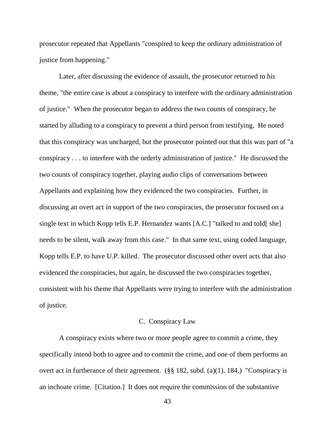prosecutor repeated that Appellants "conspired to keep the ordinary administration of justice from happening."

Later, after discussing the evidence of assault, the prosecutor returned to his theme, "the entire case is about a conspiracy to interfere with the ordinary administration of justice." When the prosecutor began to address the two counts of conspiracy, he started by alluding to a conspiracy to prevent a third person from testifying. He noted that this conspiracy was uncharged, but the prosecutor pointed out that this was part of "a conspiracy . . . to interfere with the orderly administration of justice." He discussed the two counts of conspiracy together, playing audio clips of conversations between Appellants and explaining how they evidenced the two conspiracies. Further, in discussing an overt act in support of the two conspiracies, the prosecutor focused on a single text in which Kopp tells E.P. Hernandez wants [A.C.] "talked to and told[ she] needs to be silent, walk away from this case." In that same text, using coded language, Kopp tells E.P. to have U.P. killed. The prosecutor discussed other overt acts that also evidenced the conspiracies, but again, he discussed the two conspiracies together, consistent with his theme that Appellants were trying to interfere with the administration of justice.

# C. Conspiracy Law

A conspiracy exists where two or more people agree to commit a crime, they specifically intend both to agree and to commit the crime, and one of them performs an overt act in furtherance of their agreement. (§§ 182, subd. (a)(1), 184.) "Conspiracy is an inchoate crime. [Citation.] It does not require the commission of the substantive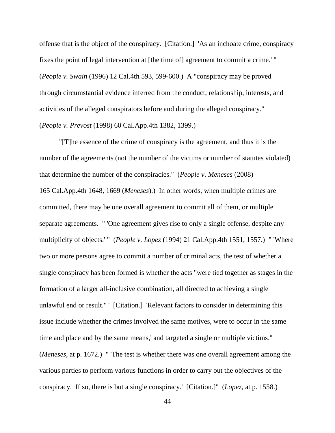offense that is the object of the conspiracy. [Citation.] 'As an inchoate crime, conspiracy fixes the point of legal intervention at [the time of] agreement to commit a crime.' " (*People v. Swain* (1996) 12 Cal.4th 593, 599-600.) A "conspiracy may be proved through circumstantial evidence inferred from the conduct, relationship, interests, and activities of the alleged conspirators before and during the alleged conspiracy." (*People v. Prevost* (1998) 60 Cal.App.4th 1382, 1399.)

"[T]he essence of the crime of conspiracy is the agreement, and thus it is the number of the agreements (not the number of the victims or number of statutes violated) that determine the number of the conspiracies." (*People v. Meneses* (2008) 165 Cal.App.4th 1648, 1669 (*Meneses*).) In other words, when multiple crimes are committed, there may be one overall agreement to commit all of them, or multiple separate agreements. " 'One agreement gives rise to only a single offense, despite any multiplicity of objects.' " (*People v. Lopez* (1994) 21 Cal.App.4th 1551, 1557.) " 'Where two or more persons agree to commit a number of criminal acts, the test of whether a single conspiracy has been formed is whether the acts "were tied together as stages in the formation of a larger all-inclusive combination, all directed to achieving a single unlawful end or result." ' [Citation.] 'Relevant factors to consider in determining this issue include whether the crimes involved the same motives, were to occur in the same time and place and by the same means,' and targeted a single or multiple victims." (*Meneses*, at p. 1672.) " 'The test is whether there was one overall agreement among the various parties to perform various functions in order to carry out the objectives of the conspiracy. If so, there is but a single conspiracy.' [Citation.]" (*Lopez*, at p. 1558.)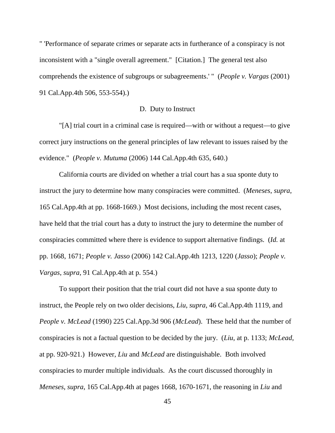" 'Performance of separate crimes or separate acts in furtherance of a conspiracy is not inconsistent with a "single overall agreement." [Citation.] The general test also comprehends the existence of subgroups or subagreements.' " (*People v. Vargas* (2001) 91 Cal.App.4th 506, 553-554).)

# D. Duty to Instruct

"[A] trial court in a criminal case is required—with or without a request—to give correct jury instructions on the general principles of law relevant to issues raised by the evidence." (*People v. Mutuma* (2006) 144 Cal.App.4th 635, 640.)

California courts are divided on whether a trial court has a sua sponte duty to instruct the jury to determine how many conspiracies were committed. (*Meneses*, *supra*, 165 Cal.App.4th at pp. 1668-1669.) Most decisions, including the most recent cases, have held that the trial court has a duty to instruct the jury to determine the number of conspiracies committed where there is evidence to support alternative findings. (*Id.* at pp. 1668, 1671; *People v. Jasso* (2006) 142 Cal.App.4th 1213, 1220 (*Jasso*); *People v. Vargas*, *supra*, 91 Cal.App.4th at p. 554.)

To support their position that the trial court did not have a sua sponte duty to instruct, the People rely on two older decisions, *Liu*, *supra*, 46 Cal.App.4th 1119, and *People v. McLead* (1990) 225 Cal.App.3d 906 (*McLead*). These held that the number of conspiracies is not a factual question to be decided by the jury. (*Liu*, at p. 1133; *McLead*, at pp. 920-921.) However, *Liu* and *McLead* are distinguishable. Both involved conspiracies to murder multiple individuals. As the court discussed thoroughly in *Meneses*, *supra*, 165 Cal.App.4th at pages 1668, 1670-1671, the reasoning in *Liu* and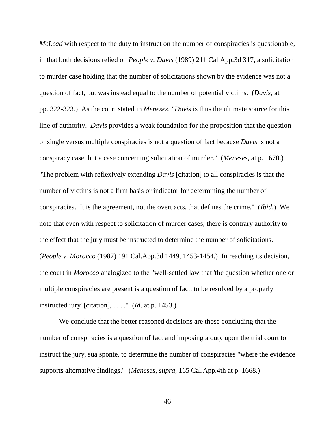*McLead* with respect to the duty to instruct on the number of conspiracies is questionable, in that both decisions relied on *People v. Davis* (1989) 211 Cal.App.3d 317, a solicitation to murder case holding that the number of solicitations shown by the evidence was not a question of fact, but was instead equal to the number of potential victims. (*Davis*, at pp. 322-323.) As the court stated in *Meneses*, "*Davis* is thus the ultimate source for this line of authority. *Davis* provides a weak foundation for the proposition that the question of single versus multiple conspiracies is not a question of fact because *Davis* is not a conspiracy case, but a case concerning solicitation of murder." (*Meneses*, at p. 1670.) "The problem with reflexively extending *Davis* [citation] to all conspiracies is that the number of victims is not a firm basis or indicator for determining the number of conspiracies. It is the agreement, not the overt acts, that defines the crime." (*Ibid*.) We note that even with respect to solicitation of murder cases, there is contrary authority to the effect that the jury must be instructed to determine the number of solicitations. (*People v. Morocco* (1987) 191 Cal.App.3d 1449, 1453-1454.) In reaching its decision, the court in *Morocco* analogized to the "well-settled law that 'the question whether one or multiple conspiracies are present is a question of fact, to be resolved by a properly instructed jury' [citation], . . . ." (*Id*. at p. 1453.)

We conclude that the better reasoned decisions are those concluding that the number of conspiracies is a question of fact and imposing a duty upon the trial court to instruct the jury, sua sponte, to determine the number of conspiracies "where the evidence supports alternative findings." (*Meneses*, *supra*, 165 Cal.App.4th at p. 1668.)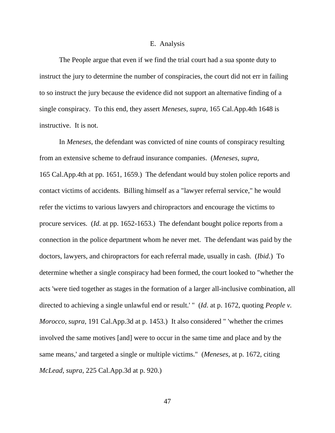#### E. Analysis

The People argue that even if we find the trial court had a sua sponte duty to instruct the jury to determine the number of conspiracies, the court did not err in failing to so instruct the jury because the evidence did not support an alternative finding of a single conspiracy. To this end, they assert *Meneses*, *supra*, 165 Cal.App.4th 1648 is instructive. It is not.

In *Meneses*, the defendant was convicted of nine counts of conspiracy resulting from an extensive scheme to defraud insurance companies. (*Meneses*, *supra*, 165 Cal.App.4th at pp. 1651, 1659.) The defendant would buy stolen police reports and contact victims of accidents. Billing himself as a "lawyer referral service," he would refer the victims to various lawyers and chiropractors and encourage the victims to procure services. (*Id.* at pp. 1652-1653.) The defendant bought police reports from a connection in the police department whom he never met. The defendant was paid by the doctors, lawyers, and chiropractors for each referral made, usually in cash. (*Ibid*.) To determine whether a single conspiracy had been formed, the court looked to "whether the acts 'were tied together as stages in the formation of a larger all-inclusive combination, all directed to achieving a single unlawful end or result.' " (*Id*. at p. 1672, quoting *People v. Morocco*, *supra*, 191 Cal.App.3d at p. 1453.) It also considered " 'whether the crimes involved the same motives [and] were to occur in the same time and place and by the same means,' and targeted a single or multiple victims." (*Meneses,* at p. 1672, citing *McLead*, *supra*, 225 Cal.App.3d at p. 920.)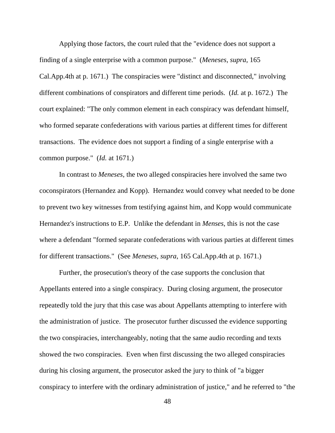Applying those factors, the court ruled that the "evidence does not support a finding of a single enterprise with a common purpose." (*Meneses*, *supra*, 165 Cal.App.4th at p. 1671.) The conspiracies were "distinct and disconnected," involving different combinations of conspirators and different time periods. (*Id.* at p. 1672.) The court explained: "The only common element in each conspiracy was defendant himself, who formed separate confederations with various parties at different times for different transactions. The evidence does not support a finding of a single enterprise with a common purpose." (*Id.* at 1671*.*)

In contrast to *Meneses*, the two alleged conspiracies here involved the same two coconspirators (Hernandez and Kopp). Hernandez would convey what needed to be done to prevent two key witnesses from testifying against him, and Kopp would communicate Hernandez's instructions to E.P. Unlike the defendant in *Menses*, this is not the case where a defendant "formed separate confederations with various parties at different times for different transactions." (See *Meneses*, *supra*, 165 Cal.App.4th at p. 1671.)

Further, the prosecution's theory of the case supports the conclusion that Appellants entered into a single conspiracy. During closing argument, the prosecutor repeatedly told the jury that this case was about Appellants attempting to interfere with the administration of justice. The prosecutor further discussed the evidence supporting the two conspiracies, interchangeably, noting that the same audio recording and texts showed the two conspiracies. Even when first discussing the two alleged conspiracies during his closing argument, the prosecutor asked the jury to think of "a bigger conspiracy to interfere with the ordinary administration of justice," and he referred to "the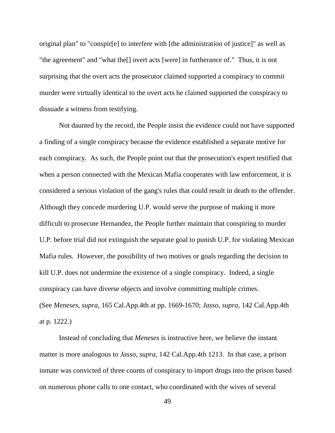original plan" to "conspir[e] to interfere with [the administration of justice]" as well as "the agreement" and "what the[] overt acts [were] in furtherance of." Thus, it is not surprising that the overt acts the prosecutor claimed supported a conspiracy to commit murder were virtually identical to the overt acts he claimed supported the conspiracy to dissuade a witness from testifying.

Not daunted by the record, the People insist the evidence could not have supported a finding of a single conspiracy because the evidence established a separate motive for each conspiracy. As such, the People point out that the prosecution's expert testified that when a person connected with the Mexican Mafia cooperates with law enforcement, it is considered a serious violation of the gang's rules that could result in death to the offender. Although they concede murdering U.P. would serve the purpose of making it more difficult to prosecute Hernandez, the People further maintain that conspiring to murder U.P. before trial did not extinguish the separate goal to punish U.P. for violating Mexican Mafia rules. However, the possibility of two motives or goals regarding the decision to kill U.P. does not undermine the existence of a single conspiracy. Indeed, a single conspiracy can have diverse objects and involve committing multiple crimes. (See *Meneses*, *supra*, 165 Cal.App.4th at pp. 1669-1670; *Jasso*, *supra*, 142 Cal.App.4th at p. 1222.)

Instead of concluding that *Meneses* is instructive here, we believe the instant matter is more analogous to *Jasso*, *supra*, 142 Cal.App.4th 1213. In that case, a prison inmate was convicted of three counts of conspiracy to import drugs into the prison based on numerous phone calls to one contact, who coordinated with the wives of several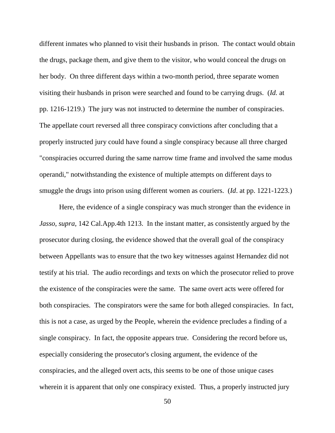different inmates who planned to visit their husbands in prison. The contact would obtain the drugs, package them, and give them to the visitor, who would conceal the drugs on her body. On three different days within a two-month period, three separate women visiting their husbands in prison were searched and found to be carrying drugs. (*Id.* at pp. 1216-1219.) The jury was not instructed to determine the number of conspiracies. The appellate court reversed all three conspiracy convictions after concluding that a properly instructed jury could have found a single conspiracy because all three charged "conspiracies occurred during the same narrow time frame and involved the same modus operandi," notwithstanding the existence of multiple attempts on different days to smuggle the drugs into prison using different women as couriers. (*Id*. at pp. 1221-1223.)

Here, the evidence of a single conspiracy was much stronger than the evidence in *Jasso*, *supra*, 142 Cal.App.4th 1213. In the instant matter, as consistently argued by the prosecutor during closing, the evidence showed that the overall goal of the conspiracy between Appellants was to ensure that the two key witnesses against Hernandez did not testify at his trial. The audio recordings and texts on which the prosecutor relied to prove the existence of the conspiracies were the same. The same overt acts were offered for both conspiracies. The conspirators were the same for both alleged conspiracies. In fact, this is not a case, as urged by the People, wherein the evidence precludes a finding of a single conspiracy. In fact, the opposite appears true. Considering the record before us, especially considering the prosecutor's closing argument, the evidence of the conspiracies, and the alleged overt acts, this seems to be one of those unique cases wherein it is apparent that only one conspiracy existed. Thus, a properly instructed jury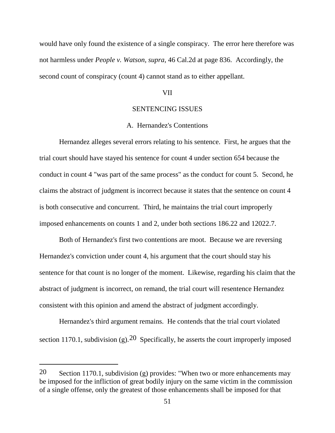would have only found the existence of a single conspiracy. The error here therefore was not harmless under *People v. Watson*, *supra*, 46 Cal.2d at page 836. Accordingly, the second count of conspiracy (count 4) cannot stand as to either appellant.

#### VII

# SENTENCING ISSUES

# A. Hernandez's Contentions

Hernandez alleges several errors relating to his sentence. First, he argues that the trial court should have stayed his sentence for count 4 under section 654 because the conduct in count 4 "was part of the same process" as the conduct for count 5. Second, he claims the abstract of judgment is incorrect because it states that the sentence on count 4 is both consecutive and concurrent. Third, he maintains the trial court improperly imposed enhancements on counts 1 and 2, under both sections 186.22 and 12022.7.

Both of Hernandez's first two contentions are moot. Because we are reversing Hernandez's conviction under count 4, his argument that the court should stay his sentence for that count is no longer of the moment. Likewise, regarding his claim that the abstract of judgment is incorrect, on remand, the trial court will resentence Hernandez consistent with this opinion and amend the abstract of judgment accordingly.

Hernandez's third argument remains. He contends that the trial court violated section 1170.1, subdivision (g).<sup>[20](#page-50-0)</sup> Specifically, he asserts the court improperly imposed

<span id="page-50-0"></span><sup>20</sup> Section 1170.1, subdivision (g) provides: "When two or more enhancements may be imposed for the infliction of great bodily injury on the same victim in the commission of a single offense, only the greatest of those enhancements shall be imposed for that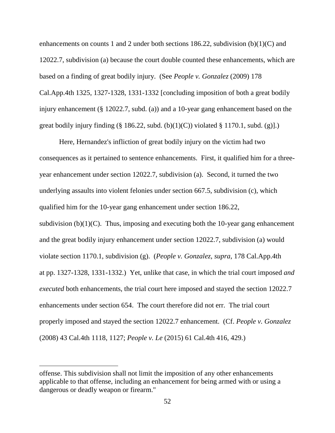enhancements on counts 1 and 2 under both sections 186.22, subdivision (b)(1)(C) and 12022.7, subdivision (a) because the court double counted these enhancements, which are based on a finding of great bodily injury. (See *People v. Gonzalez* (2009) 178 Cal.App.4th 1325, 1327-1328, 1331-1332 [concluding imposition of both a great bodily injury enhancement (§ 12022.7, subd. (a)) and a 10-year gang enhancement based on the great bodily injury finding (§ 186.22, subd. (b)(1)(C)) violated § 1170.1, subd. (g)].)

Here, Hernandez's infliction of great bodily injury on the victim had two consequences as it pertained to sentence enhancements. First, it qualified him for a threeyear enhancement under section 12022.7, subdivision (a). Second, it turned the two underlying assaults into violent felonies under section 667.5, subdivision (c), which qualified him for the 10-year gang enhancement under section 186.22, subdivision  $(b)(1)(C)$ . Thus, imposing and executing both the 10-year gang enhancement and the great bodily injury enhancement under section 12022.7, subdivision (a) would violate section 1170.1, subdivision (g). (*People v. Gonzalez*, *supra*, 178 Cal.App.4th at pp. 1327-1328, 1331-1332.) Yet, unlike that case, in which the trial court imposed *and executed* both enhancements, the trial court here imposed and stayed the section 12022.7 enhancements under section 654. The court therefore did not err. The trial court properly imposed and stayed the section 12022.7 enhancement. (Cf. *People v. Gonzalez* (2008) 43 Cal.4th 1118, 1127; *People v. Le* (2015) 61 Cal.4th 416, 429.)

offense. This subdivision shall not limit the imposition of any other enhancements applicable to that offense, including an enhancement for being armed with or using a dangerous or deadly weapon or firearm."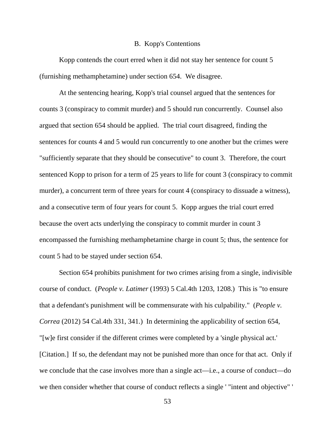#### B. Kopp's Contentions

Kopp contends the court erred when it did not stay her sentence for count 5 (furnishing methamphetamine) under section 654. We disagree.

At the sentencing hearing, Kopp's trial counsel argued that the sentences for counts 3 (conspiracy to commit murder) and 5 should run concurrently. Counsel also argued that section 654 should be applied. The trial court disagreed, finding the sentences for counts 4 and 5 would run concurrently to one another but the crimes were "sufficiently separate that they should be consecutive" to count 3. Therefore, the court sentenced Kopp to prison for a term of 25 years to life for count 3 (conspiracy to commit murder), a concurrent term of three years for count 4 (conspiracy to dissuade a witness), and a consecutive term of four years for count 5. Kopp argues the trial court erred because the overt acts underlying the conspiracy to commit murder in count 3 encompassed the furnishing methamphetamine charge in count 5; thus, the sentence for count 5 had to be stayed under section 654.

Section 654 prohibits punishment for two crimes arising from a single, indivisible course of conduct. (*People v. Latimer* (1993) 5 Cal.4th 1203, 1208.) This is "to ensure that a defendant's punishment will be commensurate with his culpability." (*People v. Correa* (2012) 54 Cal.4th 331, 341.) In determining the applicability of section 654, "[w]e first consider if the different crimes were completed by a 'single physical act.' [Citation.] If so, the defendant may not be punished more than once for that act. Only if we conclude that the case involves more than a single act—i.e., a course of conduct—do we then consider whether that course of conduct reflects a single ' "intent and objective" '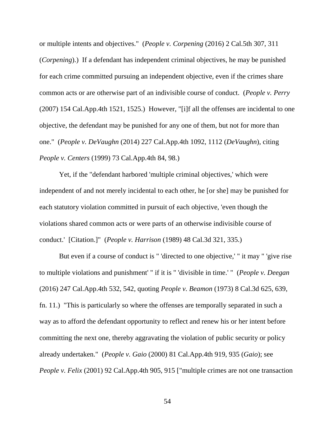or multiple intents and objectives." (*People v. Corpening* (2016) 2 Cal.5th 307, 311 (*Corpening*).) If a defendant has independent criminal objectives, he may be punished for each crime committed pursuing an independent objective, even if the crimes share common acts or are otherwise part of an indivisible course of conduct. (*People v. Perry* (2007) 154 Cal.App.4th 1521, 1525.) However, "[i]f all the offenses are incidental to one objective, the defendant may be punished for any one of them, but not for more than one." (*People v. DeVaughn* (2014) 227 Cal.App.4th 1092, 1112 (*DeVaughn*), citing *People v. Centers* (1999) 73 Cal.App.4th 84, 98.)

Yet, if the "defendant harbored 'multiple criminal objectives,' which were independent of and not merely incidental to each other, he [or she] may be punished for each statutory violation committed in pursuit of each objective, 'even though the violations shared common acts or were parts of an otherwise indivisible course of conduct.' [Citation.]" (*People v. Harrison* (1989) 48 Cal.3d 321, 335.)

But even if a course of conduct is " 'directed to one objective,' " it may " 'give rise to multiple violations and punishment' " if it is " 'divisible in time.' " (*People v. Deegan* (2016) 247 Cal.App.4th 532, 542, quoting *People v. Beamon* (1973) 8 Cal.3d 625, 639, fn. 11.) "This is particularly so where the offenses are temporally separated in such a way as to afford the defendant opportunity to reflect and renew his or her intent before committing the next one, thereby aggravating the violation of public security or policy already undertaken." (*People v. Gaio* (2000) 81 Cal.App.4th 919, 935 (*Gaio*); see *People v. Felix* (2001) 92 Cal.App.4th 905, 915 ["multiple crimes are not one transaction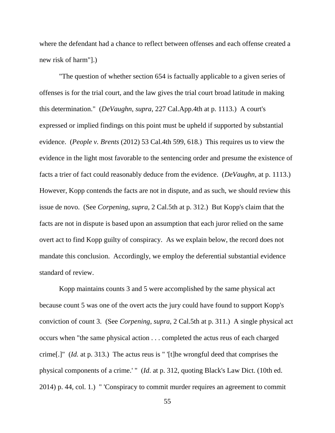where the defendant had a chance to reflect between offenses and each offense created a new risk of harm"].)

"The question of whether section 654 is factually applicable to a given series of offenses is for the trial court, and the law gives the trial court broad latitude in making this determination." (*DeVaughn*, *supra*, 227 Cal.App.4th at p. 1113.) A court's expressed or implied findings on this point must be upheld if supported by substantial evidence. (*People v. Brents* (2012) 53 Cal.4th 599, 618.) This requires us to view the evidence in the light most favorable to the sentencing order and presume the existence of facts a trier of fact could reasonably deduce from the evidence. (*DeVaughn*, at p. 1113.) However, Kopp contends the facts are not in dispute, and as such, we should review this issue de novo. (See *Corpening*, *supra*, 2 Cal.5th at p. 312.) But Kopp's claim that the facts are not in dispute is based upon an assumption that each juror relied on the same overt act to find Kopp guilty of conspiracy. As we explain below, the record does not mandate this conclusion. Accordingly, we employ the deferential substantial evidence standard of review.

Kopp maintains counts 3 and 5 were accomplished by the same physical act because count 5 was one of the overt acts the jury could have found to support Kopp's conviction of count 3. (See *Corpening*, *supra*, 2 Cal.5th at p. 311.) A single physical act occurs when "the same physical action . . . completed the actus reus of each charged crime[.]" (*Id.* at p. 313.) The actus reus is " '[t]he wrongful deed that comprises the physical components of a crime.' " (*Id*. at p. 312, quoting Black's Law Dict. (10th ed. 2014) p. 44, col. 1.) " 'Conspiracy to commit murder requires an agreement to commit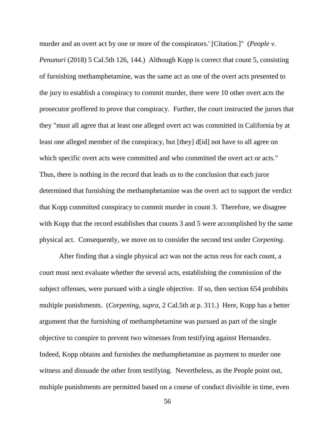murder and an overt act by one or more of the conspirators.' [Citation.]" (*People v. Penunuri* (2018) 5 Cal.5th 126, 144.) Although Kopp is correct that count 5, consisting of furnishing methamphetamine, was the same act as one of the overt acts presented to the jury to establish a conspiracy to commit murder, there were 10 other overt acts the prosecutor proffered to prove that conspiracy. Further, the court instructed the jurors that they "must all agree that at least one alleged overt act was committed in California by at least one alleged member of the conspiracy, but [they] d[id] not have to all agree on which specific overt acts were committed and who committed the overt act or acts." Thus, there is nothing in the record that leads us to the conclusion that each juror determined that furnishing the methamphetamine was the overt act to support the verdict that Kopp committed conspiracy to commit murder in count 3. Therefore, we disagree with Kopp that the record establishes that counts 3 and 5 were accomplished by the same physical act. Consequently, we move on to consider the second test under *Corpening*.

After finding that a single physical act was not the actus reus for each count, a court must next evaluate whether the several acts, establishing the commission of the subject offenses, were pursued with a single objective. If so, then section 654 prohibits multiple punishments. (*Corpening*, *supra*, 2 Cal.5th at p. 311.) Here, Kopp has a better argument that the furnishing of methamphetamine was pursued as part of the single objective to conspire to prevent two witnesses from testifying against Hernandez. Indeed, Kopp obtains and furnishes the methamphetamine as payment to murder one witness and dissuade the other from testifying. Nevertheless, as the People point out, multiple punishments are permitted based on a course of conduct divisible in time, even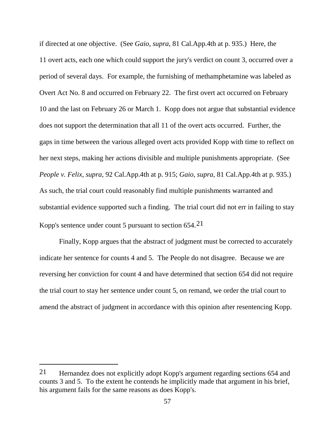if directed at one objective. (See *Gaio*, *supra*, 81 Cal.App.4th at p. 935.) Here, the 11 overt acts, each one which could support the jury's verdict on count 3, occurred over a period of several days. For example, the furnishing of methamphetamine was labeled as Overt Act No. 8 and occurred on February 22. The first overt act occurred on February 10 and the last on February 26 or March 1. Kopp does not argue that substantial evidence does not support the determination that all 11 of the overt acts occurred. Further, the gaps in time between the various alleged overt acts provided Kopp with time to reflect on her next steps, making her actions divisible and multiple punishments appropriate. (See *People v. Felix*, *supra*, 92 Cal.App.4th at p. 915; *Gaio*, *supra*, 81 Cal.App.4th at p. 935.) As such, the trial court could reasonably find multiple punishments warranted and substantial evidence supported such a finding. The trial court did not err in failing to stay Kopp's sentence under count 5 pursuant to section 654.[21](#page-56-0) 

Finally, Kopp argues that the abstract of judgment must be corrected to accurately indicate her sentence for counts 4 and 5. The People do not disagree. Because we are reversing her conviction for count 4 and have determined that section 654 did not require the trial court to stay her sentence under count 5, on remand, we order the trial court to amend the abstract of judgment in accordance with this opinion after resentencing Kopp.

<span id="page-56-0"></span><sup>21</sup> Hernandez does not explicitly adopt Kopp's argument regarding sections 654 and counts 3 and 5. To the extent he contends he implicitly made that argument in his brief, his argument fails for the same reasons as does Kopp's.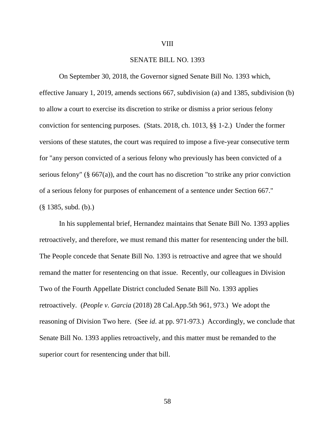# VIII

# SENATE BILL NO. 1393

On September 30, 2018, the Governor signed Senate Bill No. 1393 which, effective January 1, 2019, amends sections 667, subdivision (a) and 1385, subdivision (b) to allow a court to exercise its discretion to strike or dismiss a prior serious felony conviction for sentencing purposes. (Stats. 2018, ch. 1013, §§ 1-2.) Under the former versions of these statutes, the court was required to impose a five-year consecutive term for "any person convicted of a serious felony who previously has been convicted of a serious felony" ( $\S$  667(a)), and the court has no discretion "to strike any prior conviction of a serious felony for purposes of enhancement of a sentence under Section 667." (§ 1385, subd. (b).)

In his supplemental brief, Hernandez maintains that Senate Bill No. 1393 applies retroactively, and therefore, we must remand this matter for resentencing under the bill. The People concede that Senate Bill No. 1393 is retroactive and agree that we should remand the matter for resentencing on that issue. Recently, our colleagues in Division Two of the Fourth Appellate District concluded Senate Bill No. 1393 applies retroactively. (*People v. Garcia* (2018) 28 Cal.App.5th 961, 973.) We adopt the reasoning of Division Two here. (See *id*. at pp. 971-973.) Accordingly, we conclude that Senate Bill No. 1393 applies retroactively, and this matter must be remanded to the superior court for resentencing under that bill.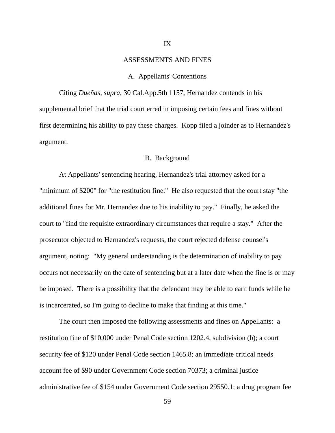#### IX

#### ASSESSMENTS AND FINES

#### A. Appellants' Contentions

Citing *Dueñas*, *supra*, 30 Cal.App.5th 1157, Hernandez contends in his supplemental brief that the trial court erred in imposing certain fees and fines without first determining his ability to pay these charges. Kopp filed a joinder as to Hernandez's argument.

# B. Background

At Appellants' sentencing hearing, Hernandez's trial attorney asked for a "minimum of \$200" for "the restitution fine." He also requested that the court stay "the additional fines for Mr. Hernandez due to his inability to pay." Finally, he asked the court to "find the requisite extraordinary circumstances that require a stay." After the prosecutor objected to Hernandez's requests, the court rejected defense counsel's argument, noting: "My general understanding is the determination of inability to pay occurs not necessarily on the date of sentencing but at a later date when the fine is or may be imposed. There is a possibility that the defendant may be able to earn funds while he is incarcerated, so I'm going to decline to make that finding at this time."

The court then imposed the following assessments and fines on Appellants: a restitution fine of \$10,000 under Penal Code section 1202.4, subdivision (b); a court security fee of \$120 under Penal Code section 1465.8; an immediate critical needs account fee of \$90 under Government Code section 70373; a criminal justice administrative fee of \$154 under Government Code section 29550.1; a drug program fee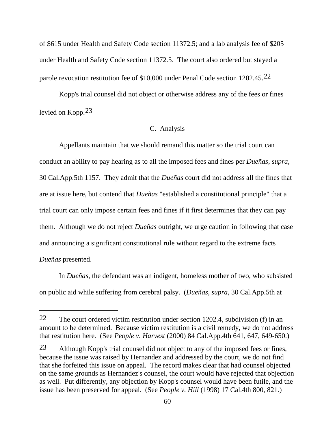of \$615 under Health and Safety Code section 11372.5; and a lab analysis fee of \$205 under Health and Safety Code section 11372.5. The court also ordered but stayed a parole revocation restitution fee of \$10,000 under Penal Code section 1202.45.[22](#page-59-0)

Kopp's trial counsel did not object or otherwise address any of the fees or fines levied on Kopp.[23](#page-59-1)

# C. Analysis

Appellants maintain that we should remand this matter so the trial court can conduct an ability to pay hearing as to all the imposed fees and fines per *Dueñas*, *supra*, 30 Cal.App.5th 1157. They admit that the *Dueñas* court did not address all the fines that are at issue here, but contend that *Dueñas* "established a constitutional principle" that a trial court can only impose certain fees and fines if it first determines that they can pay them. Although we do not reject *Dueñas* outright, we urge caution in following that case and announcing a significant constitutional rule without regard to the extreme facts *Dueñas* presented.

In *Dueñas*, the defendant was an indigent, homeless mother of two, who subsisted on public aid while suffering from cerebral palsy. (*Dueñas*, *supra*, 30 Cal.App.5th at

<span id="page-59-0"></span><sup>22</sup> The court ordered victim restitution under section 1202.4, subdivision (f) in an amount to be determined. Because victim restitution is a civil remedy, we do not address that restitution here. (See *People v. Harvest* (2000) 84 Cal.App.4th 641, 647, 649-650.)

<span id="page-59-1"></span><sup>23</sup> Although Kopp's trial counsel did not object to any of the imposed fees or fines, because the issue was raised by Hernandez and addressed by the court, we do not find that she forfeited this issue on appeal. The record makes clear that had counsel objected on the same grounds as Hernandez's counsel, the court would have rejected that objection as well. Put differently, any objection by Kopp's counsel would have been futile, and the issue has been preserved for appeal. (See *People v. Hill* (1998) 17 Cal.4th 800, 821.)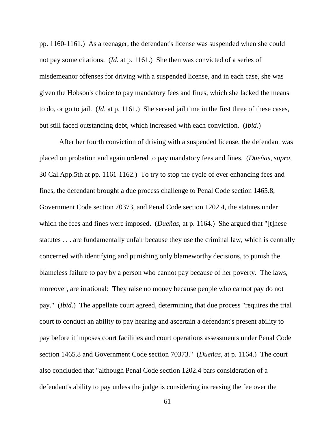pp. 1160-1161.) As a teenager, the defendant's license was suspended when she could not pay some citations. (*Id.* at p. 1161.) She then was convicted of a series of misdemeanor offenses for driving with a suspended license, and in each case, she was given the Hobson's choice to pay mandatory fees and fines, which she lacked the means to do, or go to jail. (*Id*. at p. 1161.) She served jail time in the first three of these cases, but still faced outstanding debt, which increased with each conviction. (*Ibid*.)

After her fourth conviction of driving with a suspended license, the defendant was placed on probation and again ordered to pay mandatory fees and fines. (*Dueñas*, *supra*, 30 Cal.App.5th at pp. 1161-1162.) To try to stop the cycle of ever enhancing fees and fines, the defendant brought a due process challenge to Penal Code section 1465.8, Government Code section 70373, and Penal Code section 1202.4, the statutes under which the fees and fines were imposed. (*Dueñas*, at p. 1164.) She argued that "[t]hese statutes . . . are fundamentally unfair because they use the criminal law, which is centrally concerned with identifying and punishing only blameworthy decisions, to punish the blameless failure to pay by a person who cannot pay because of her poverty. The laws, moreover, are irrational: They raise no money because people who cannot pay do not pay." (*Ibid*.) The appellate court agreed, determining that due process "requires the trial court to conduct an ability to pay hearing and ascertain a defendant's present ability to pay before it imposes court facilities and court operations assessments under Penal Code section 1465.8 and Government Code section 70373." (*Dueñas*, at p. 1164.) The court also concluded that "although Penal Code section 1202.4 bars consideration of a defendant's ability to pay unless the judge is considering increasing the fee over the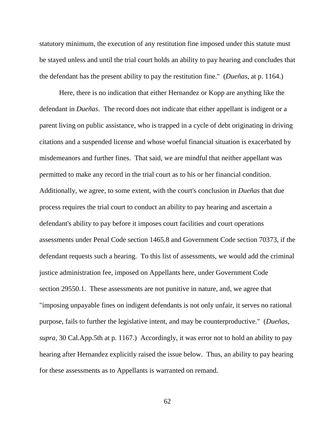statutory minimum, the execution of any restitution fine imposed under this statute must be stayed unless and until the trial court holds an ability to pay hearing and concludes that the defendant has the present ability to pay the restitution fine." (*Dueñas*, at p. 1164.)

Here, there is no indication that either Hernandez or Kopp are anything like the defendant in *Dueñas*. The record does not indicate that either appellant is indigent or a parent living on public assistance, who is trapped in a cycle of debt originating in driving citations and a suspended license and whose woeful financial situation is exacerbated by misdemeanors and further fines. That said, we are mindful that neither appellant was permitted to make any record in the trial court as to his or her financial condition. Additionally, we agree, to some extent, with the court's conclusion in *Dueñas* that due process requires the trial court to conduct an ability to pay hearing and ascertain a defendant's ability to pay before it imposes court facilities and court operations assessments under Penal Code section 1465.8 and Government Code section 70373, if the defendant requests such a hearing. To this list of assessments, we would add the criminal justice administration fee, imposed on Appellants here, under Government Code section 29550.1. These assessments are not punitive in nature, and, we agree that "imposing unpayable fines on indigent defendants is not only unfair, it serves no rational purpose, fails to further the legislative intent, and may be counterproductive." (*Dueñas*, *supra*, 30 Cal.App.5th at p. 1167.) Accordingly, it was error not to hold an ability to pay hearing after Hernandez explicitly raised the issue below. Thus, an ability to pay hearing for these assessments as to Appellants is warranted on remand.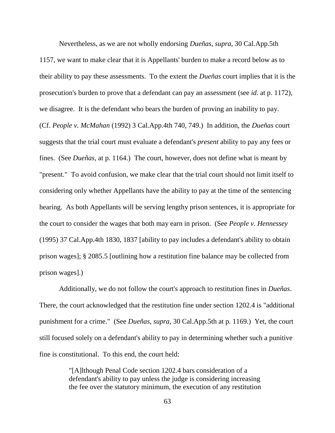Nevertheless, as we are not wholly endorsing *Dueñas*, *supra*, 30 Cal.App.5th

1157, we want to make clear that it is Appellants' burden to make a record below as to their ability to pay these assessments. To the extent the *Dueñas* court implies that it is the prosecution's burden to prove that a defendant can pay an assessment (see *id*. at p. 1172), we disagree. It is the defendant who bears the burden of proving an inability to pay. (Cf. *People v. McMahan* (1992) 3 Cal.App.4th 740, 749.) In addition, the *Dueñas* court suggests that the trial court must evaluate a defendant's *present* ability to pay any fees or fines. (See *Dueñas*, at p. 1164.) The court, however, does not define what is meant by "present." To avoid confusion, we make clear that the trial court should not limit itself to considering only whether Appellants have the ability to pay at the time of the sentencing hearing. As both Appellants will be serving lengthy prison sentences, it is appropriate for the court to consider the wages that both may earn in prison. (See *People v. Hennessey* (1995) 37 Cal.App.4th 1830, 1837 [ability to pay includes a defendant's ability to obtain prison wages]; § 2085.5 [outlining how a restitution fine balance may be collected from prison wages].)

Additionally, we do not follow the court's approach to restitution fines in *Dueñas*. There, the court acknowledged that the restitution fine under section 1202.4 is "additional punishment for a crime." (See *Dueñas*, *supra*, 30 Cal.App.5th at p. 1169.) Yet, the court still focused solely on a defendant's ability to pay in determining whether such a punitive fine is constitutional. To this end, the court held:

> "[A]lthough Penal Code section 1202.4 bars consideration of a defendant's ability to pay unless the judge is considering increasing the fee over the statutory minimum, the execution of any restitution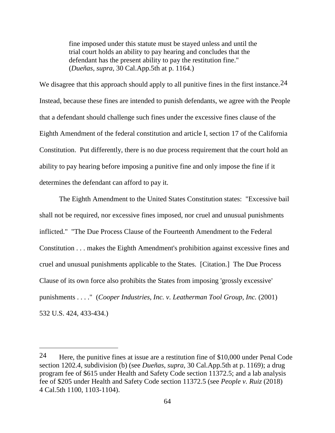fine imposed under this statute must be stayed unless and until the trial court holds an ability to pay hearing and concludes that the defendant has the present ability to pay the restitution fine." (*Dueñas*, *supra*, 30 Cal.App.5th at p. 1164.)

We disagree that this approach should apply to all punitive fines in the first instance.  $24$ Instead, because these fines are intended to punish defendants, we agree with the People that a defendant should challenge such fines under the excessive fines clause of the Eighth Amendment of the federal constitution and article I, section 17 of the California Constitution. Put differently, there is no due process requirement that the court hold an ability to pay hearing before imposing a punitive fine and only impose the fine if it determines the defendant can afford to pay it.

The Eighth Amendment to the United States Constitution states: "Excessive bail shall not be required, nor excessive fines imposed, nor cruel and unusual punishments inflicted." "The Due Process Clause of the Fourteenth Amendment to the Federal Constitution . . . makes the Eighth Amendment's prohibition against excessive fines and cruel and unusual punishments applicable to the States. [Citation.] The Due Process Clause of its own force also prohibits the States from imposing 'grossly excessive' punishments . . . ." (*Cooper Industries, Inc. v. Leatherman Tool Group, Inc.* (2001) 532 U.S. 424, 433-434.)

<span id="page-63-0"></span><sup>&</sup>lt;sup>24</sup> Here, the punitive fines at issue are a restitution fine of \$10,000 under Penal Code section 1202.4, subdivision (b) (see *Dueñas*, *supra*, 30 Cal.App.5th at p. 1169); a drug program fee of \$615 under Health and Safety Code section 11372.5; and a lab analysis fee of \$205 under Health and Safety Code section 11372.5 (see *People v. Ruiz* (2018) 4 Cal.5th 1100, 1103-1104).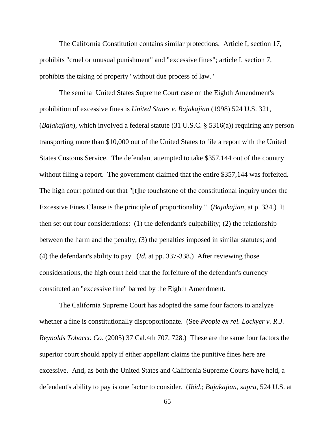The California Constitution contains similar protections. Article I, section 17, prohibits "cruel or unusual punishment" and "excessive fines"; article I, section 7, prohibits the taking of property "without due process of law."

The seminal United States Supreme Court case on the Eighth Amendment's prohibition of excessive fines is *United States v. Bajakajian* (1998) 524 U.S. 321, (*Bajakajian*), which involved a federal statute (31 U.S.C. § 5316(a)) requiring any person transporting more than \$10,000 out of the United States to file a report with the United States Customs Service. The defendant attempted to take \$357,144 out of the country without filing a report. The government claimed that the entire \$357,144 was forfeited. The high court pointed out that "[t]he touchstone of the constitutional inquiry under the Excessive Fines Clause is the principle of proportionality." (*Bajakajian*, at p. 334.) It then set out four considerations: (1) the defendant's culpability; (2) the relationship between the harm and the penalty; (3) the penalties imposed in similar statutes; and (4) the defendant's ability to pay. (*Id.* at pp. 337-338.) After reviewing those considerations, the high court held that the forfeiture of the defendant's currency constituted an "excessive fine" barred by the Eighth Amendment.

The California Supreme Court has adopted the same four factors to analyze whether a fine is constitutionally disproportionate. (See *People ex rel. Lockyer v. R.J. Reynolds Tobacco Co.* (2005) 37 Cal.4th 707, 728.) These are the same four factors the superior court should apply if either appellant claims the punitive fines here are excessive. And, as both the United States and California Supreme Courts have held, a defendant's ability to pay is one factor to consider. (*Ibid*.; *Bajakajian*, *supra*, 524 U.S. at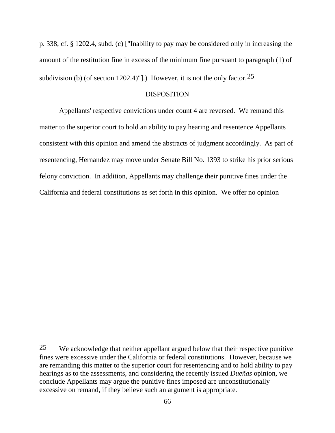p. 338; cf. § 1202.4, subd. (c) ["Inability to pay may be considered only in increasing the amount of the restitution fine in excess of the minimum fine pursuant to paragraph (1) of subdivision (b) (of section 1202.4)"].) However, it is not the only factor.  $25$ 

# DISPOSITION

Appellants' respective convictions under count 4 are reversed. We remand this matter to the superior court to hold an ability to pay hearing and resentence Appellants consistent with this opinion and amend the abstracts of judgment accordingly. As part of resentencing, Hernandez may move under Senate Bill No. 1393 to strike his prior serious felony conviction. In addition, Appellants may challenge their punitive fines under the California and federal constitutions as set forth in this opinion. We offer no opinion

<span id="page-65-0"></span><sup>25</sup> We acknowledge that neither appellant argued below that their respective punitive fines were excessive under the California or federal constitutions. However, because we are remanding this matter to the superior court for resentencing and to hold ability to pay hearings as to the assessments, and considering the recently issued *Dueñas* opinion, we conclude Appellants may argue the punitive fines imposed are unconstitutionally excessive on remand, if they believe such an argument is appropriate.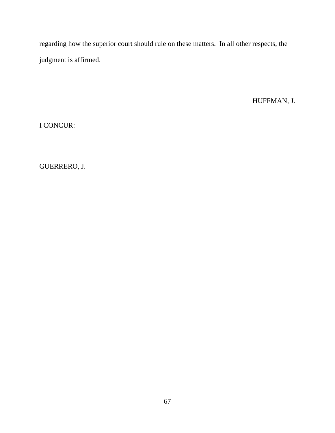regarding how the superior court should rule on these matters. In all other respects, the judgment is affirmed.

HUFFMAN, J.

I CONCUR:

GUERRERO, J.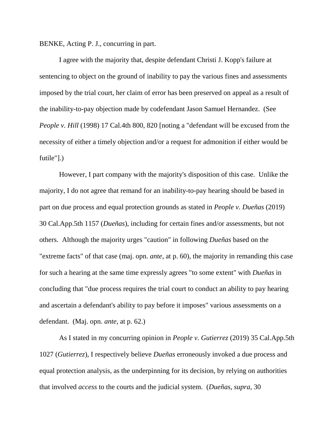BENKE, Acting P. J., concurring in part.

I agree with the majority that, despite defendant Christi J. Kopp's failure at sentencing to object on the ground of inability to pay the various fines and assessments imposed by the trial court, her claim of error has been preserved on appeal as a result of the inability-to-pay objection made by codefendant Jason Samuel Hernandez. (See *People v. Hill* (1998) 17 Cal.4th 800, 820 [noting a "defendant will be excused from the necessity of either a timely objection and/or a request for admonition if either would be futile"].)

However, I part company with the majority's disposition of this case. Unlike the majority, I do not agree that remand for an inability-to-pay hearing should be based in part on due process and equal protection grounds as stated in *People v. Dueñas* (2019) 30 Cal.App.5th 1157 (*Dueñas*), including for certain fines and/or assessments, but not others. Although the majority urges "caution" in following *Dueñas* based on the "extreme facts" of that case (maj. opn. *ante*, at p. 60), the majority in remanding this case for such a hearing at the same time expressly agrees "to some extent" with *Dueñas* in concluding that "due process requires the trial court to conduct an ability to pay hearing and ascertain a defendant's ability to pay before it imposes" various assessments on a defendant. (Maj. opn. *ante*, at p. 62.)

As I stated in my concurring opinion in *People v. Gutierrez* (2019) 35 Cal.App.5th 1027 (*Gutierrez*), I respectively believe *Dueñas* erroneously invoked a due process and equal protection analysis, as the underpinning for its decision, by relying on authorities that involved *access* to the courts and the judicial system. (*Dueñas*, *supra*, 30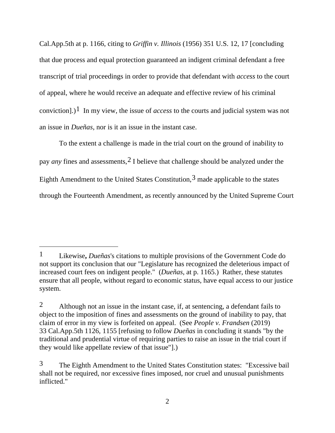Cal.App.5th at p. 1166, citing to *Griffin v. Illinois* (1956) 351 U.S. 12, 17 [concluding that due process and equal protection guaranteed an indigent criminal defendant a free transcript of trial proceedings in order to provide that defendant with *access* to the court of appeal, where he would receive an adequate and effective review of his criminal conviction].)<sup>1</sup> In my view, the issue of *access* to the courts and judicial system was not an issue in *Dueñas*, nor is it an issue in the instant case.

To the extent a challenge is made in the trial court on the ground of inability to pay *any* fines and assessments,[2](#page-68-1) I believe that challenge should be analyzed under the Eighth Amendment to the United States Constitution,  $3$  made applicable to the states through the Fourteenth Amendment, as recently announced by the United Supreme Court

<span id="page-68-0"></span><sup>1</sup> Likewise**,** *Dueñas*'s citations to multiple provisions of the Government Code do not support its conclusion that our "Legislature has recognized the deleterious impact of increased court fees on indigent people." (*Dueñas*, at p. 1165.) Rather, these statutes ensure that all people, without regard to economic status, have equal access to our justice system.

<span id="page-68-1"></span><sup>2</sup> Although not an issue in the instant case, if, at sentencing, a defendant fails to object to the imposition of fines and assessments on the ground of inability to pay, that claim of error in my view is forfeited on appeal. (See *People v. Frandsen* (2019) 33 Cal.App.5th 1126, 1155 [refusing to follow *Dueñas* in concluding it stands "by the traditional and prudential virtue of requiring parties to raise an issue in the trial court if they would like appellate review of that issue"].)

<span id="page-68-2"></span><sup>3</sup> The Eighth Amendment to the United States Constitution states: "Excessive bail shall not be required, nor excessive fines imposed, nor cruel and unusual punishments inflicted."